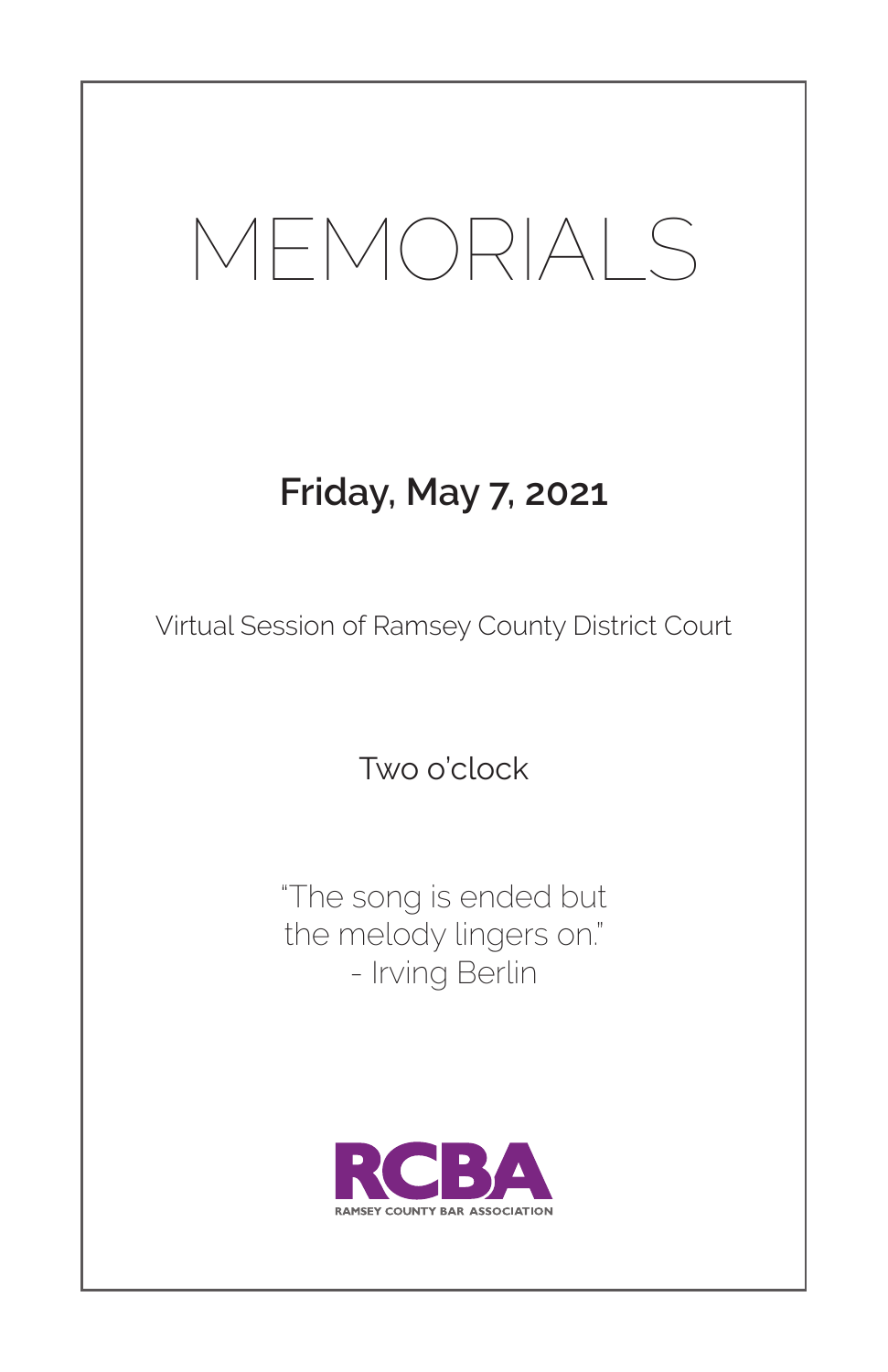# MEMORIALS

### **Friday, May 7, 2021**

Virtual Session of Ramsey County District Court

Two o'clock

"The song is ended but the melody lingers on." - Irving Berlin

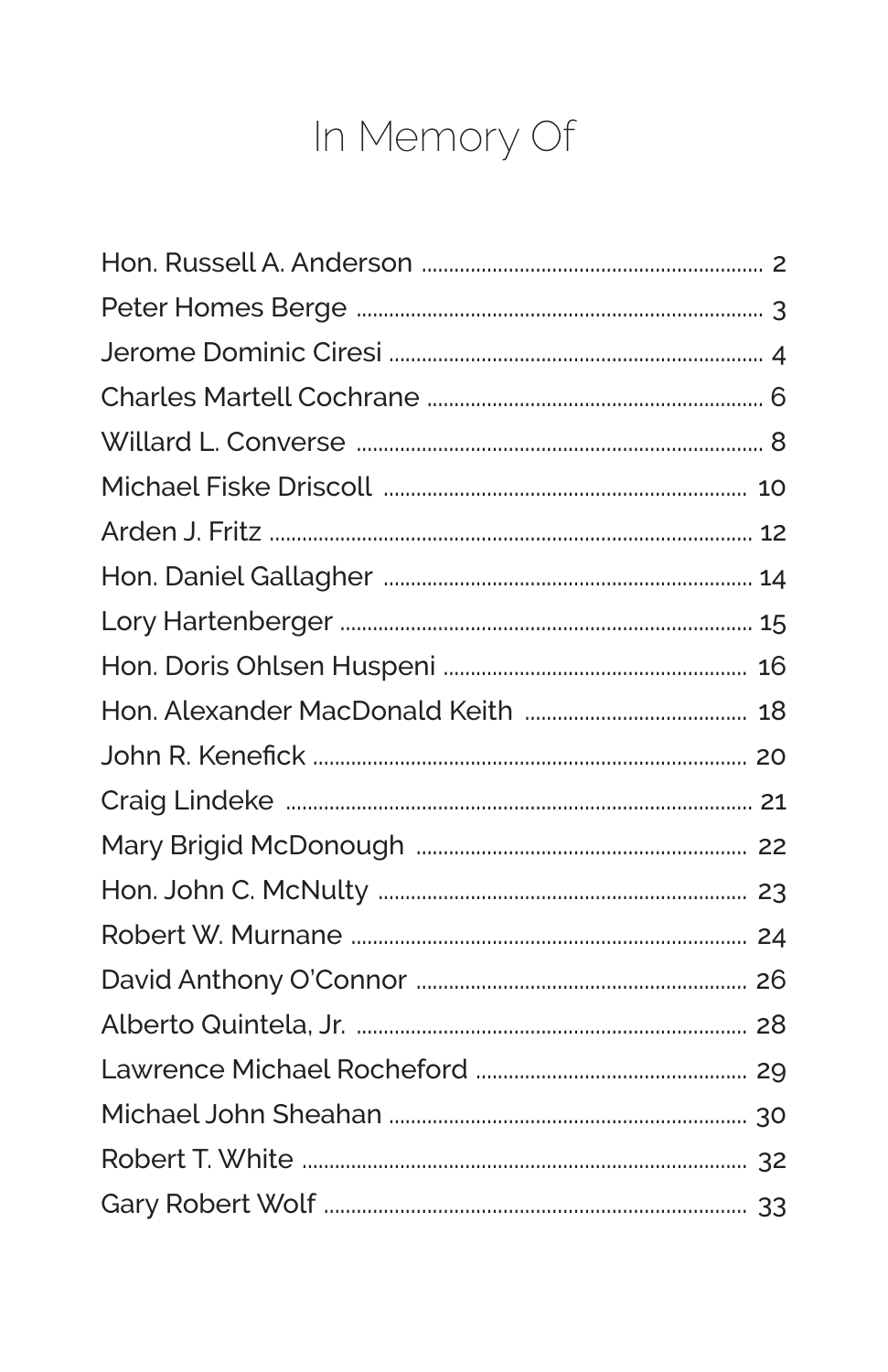## In Memory Of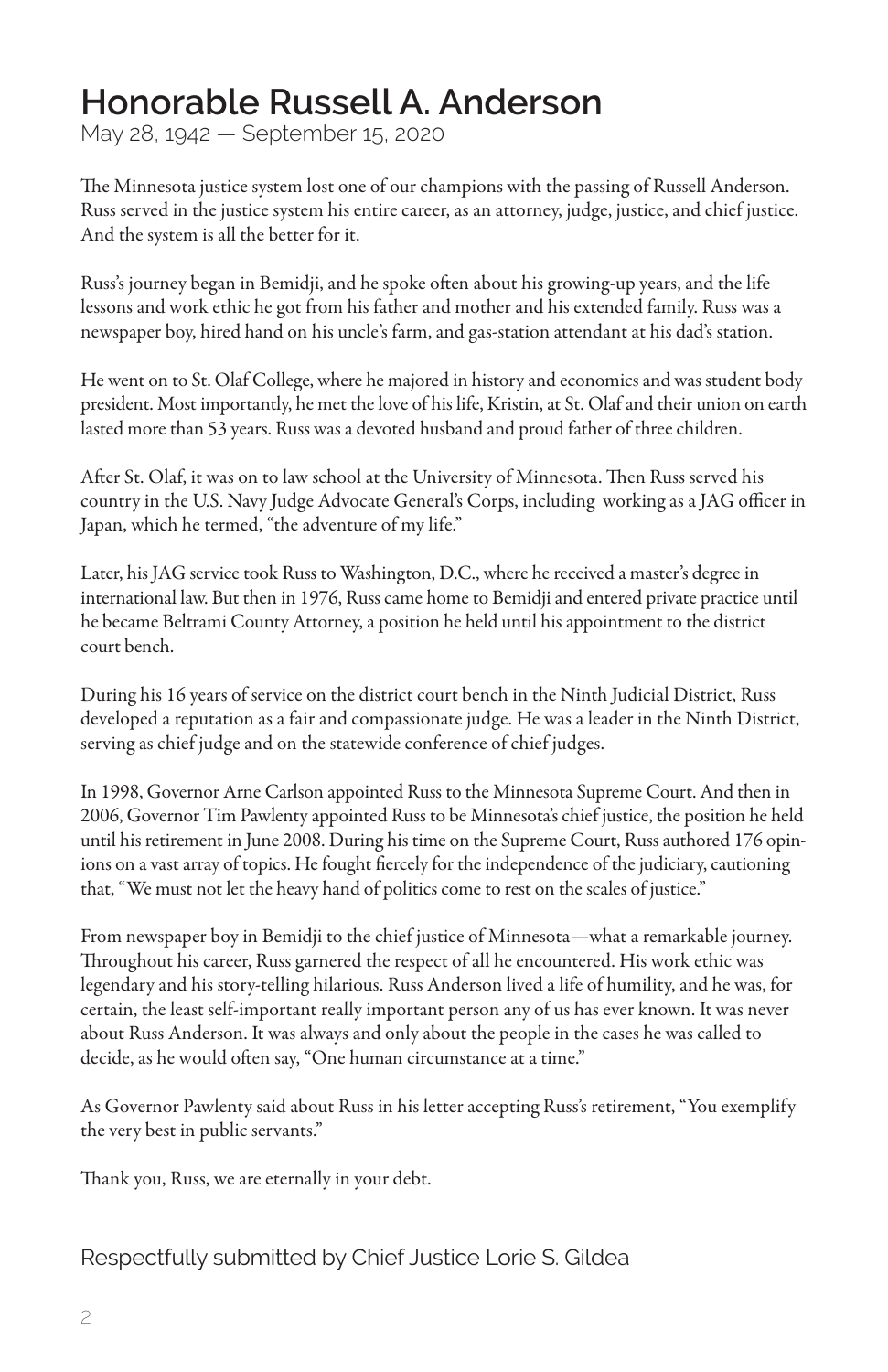#### **Honorable Russell A. Anderson**

May 28, 1942 — September 15, 2020

The Minnesota justice system lost one of our champions with the passing of Russell Anderson. Russ served in the justice system his entire career, as an attorney, judge, justice, and chief justice. And the system is all the better for it.

Russ's journey began in Bemidji, and he spoke often about his growing-up years, and the life lessons and work ethic he got from his father and mother and his extended family. Russ was a newspaper boy, hired hand on his uncle's farm, and gas-station attendant at his dad's station.

He went on to St. Olaf College, where he majored in history and economics and was student body president. Most importantly, he met the love of his life, Kristin, at St. Olaf and their union on earth lasted more than 53 years. Russ was a devoted husband and proud father of three children.

After St. Olaf, it was on to law school at the University of Minnesota. Then Russ served his country in the U.S. Navy Judge Advocate General's Corps, including working as a JAG officer in Japan, which he termed, "the adventure of my life."

Later, his JAG service took Russ to Washington, D.C., where he received a master's degree in international law. But then in 1976, Russ came home to Bemidji and entered private practice until he became Beltrami County Attorney, a position he held until his appointment to the district court bench.

During his 16 years of service on the district court bench in the Ninth Judicial District, Russ developed a reputation as a fair and compassionate judge. He was a leader in the Ninth District, serving as chief judge and on the statewide conference of chief judges.

In 1998, Governor Arne Carlson appointed Russ to the Minnesota Supreme Court. And then in 2006, Governor Tim Pawlenty appointed Russ to be Minnesota's chief justice, the position he held until his retirement in June 2008. During his time on the Supreme Court, Russ authored 176 opinions on a vast array of topics. He fought fiercely for the independence of the judiciary, cautioning that, "We must not let the heavy hand of politics come to rest on the scales of justice."

From newspaper boy in Bemidji to the chief justice of Minnesota—what a remarkable journey. Throughout his career, Russ garnered the respect of all he encountered. His work ethic was legendary and his story-telling hilarious. Russ Anderson lived a life of humility, and he was, for certain, the least self-important really important person any of us has ever known. It was never about Russ Anderson. It was always and only about the people in the cases he was called to decide, as he would often say, "One human circumstance at a time."

As Governor Pawlenty said about Russ in his letter accepting Russ's retirement, "You exemplify the very best in public servants."

Thank you, Russ, we are eternally in your debt.

Respectfully submitted by Chief Justice Lorie S. Gildea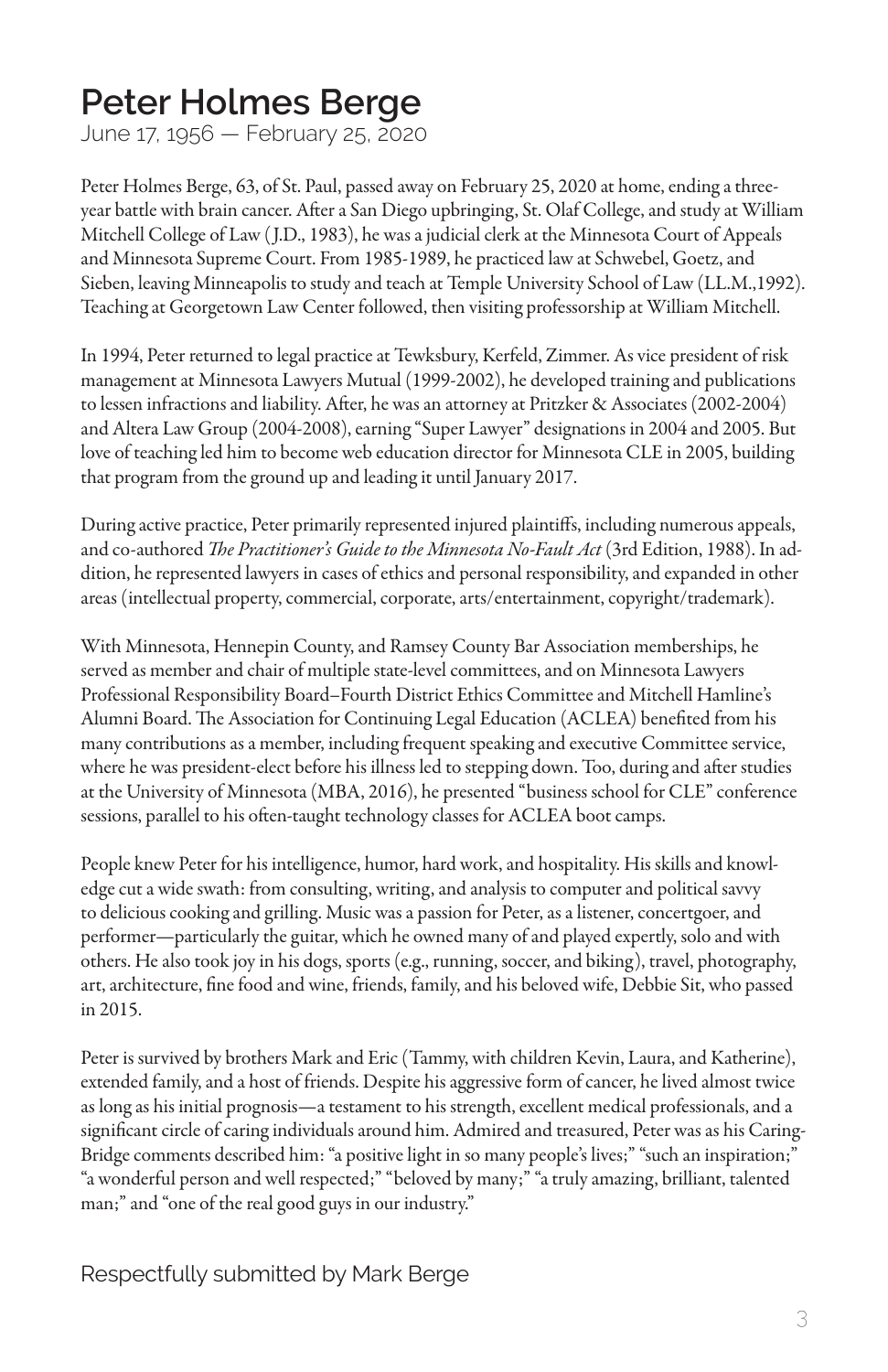#### **Peter Holmes Berge**

June 17, 1956 — February 25, 2020

Peter Holmes Berge, 63, of St. Paul, passed away on February 25, 2020 at home, ending a threeyear battle with brain cancer. After a San Diego upbringing, St. Olaf College, and study at William Mitchell College of Law (J.D., 1983), he was a judicial clerk at the Minnesota Court of Appeals and Minnesota Supreme Court. From 1985-1989, he practiced law at Schwebel, Goetz, and Sieben, leaving Minneapolis to study and teach at Temple University School of Law (LL.M.,1992). Teaching at Georgetown Law Center followed, then visiting professorship at William Mitchell.

In 1994, Peter returned to legal practice at Tewksbury, Kerfeld, Zimmer. As vice president of risk management at Minnesota Lawyers Mutual (1999-2002), he developed training and publications to lessen infractions and liability. After, he was an attorney at Pritzker & Associates (2002-2004) and Altera Law Group (2004-2008), earning "Super Lawyer" designations in 2004 and 2005. But love of teaching led him to become web education director for Minnesota CLE in 2005, building that program from the ground up and leading it until January 2017.

During active practice, Peter primarily represented injured plaintiffs, including numerous appeals, and co-authored *The Practitioner's Guide to the Minnesota No-Fault Act* (3rd Edition, 1988). In addition, he represented lawyers in cases of ethics and personal responsibility, and expanded in other areas (intellectual property, commercial, corporate, arts/entertainment, copyright/trademark).

With Minnesota, Hennepin County, and Ramsey County Bar Association memberships, he served as member and chair of multiple state-level committees, and on Minnesota Lawyers Professional Responsibility Board–Fourth District Ethics Committee and Mitchell Hamline's Alumni Board. The Association for Continuing Legal Education (ACLEA) benefited from his many contributions as a member, including frequent speaking and executive Committee service, where he was president-elect before his illness led to stepping down. Too, during and after studies at the University of Minnesota (MBA, 2016), he presented "business school for CLE" conference sessions, parallel to his often-taught technology classes for ACLEA boot camps.

People knew Peter for his intelligence, humor, hard work, and hospitality. His skills and knowledge cut a wide swath: from consulting, writing, and analysis to computer and political savvy to delicious cooking and grilling. Music was a passion for Peter, as a listener, concertgoer, and performer—particularly the guitar, which he owned many of and played expertly, solo and with others. He also took joy in his dogs, sports (e.g., running, soccer, and biking), travel, photography, art, architecture, fine food and wine, friends, family, and his beloved wife, Debbie Sit, who passed in 2015.

Peter is survived by brothers Mark and Eric (Tammy, with children Kevin, Laura, and Katherine), extended family, and a host of friends. Despite his aggressive form of cancer, he lived almost twice as long as his initial prognosis—a testament to his strength, excellent medical professionals, and a significant circle of caring individuals around him. Admired and treasured, Peter was as his Caring-Bridge comments described him: "a positive light in so many people's lives;" "such an inspiration;" "a wonderful person and well respected;" "beloved by many;" "a truly amazing, brilliant, talented man;" and "one of the real good guys in our industry."

Respectfully submitted by Mark Berge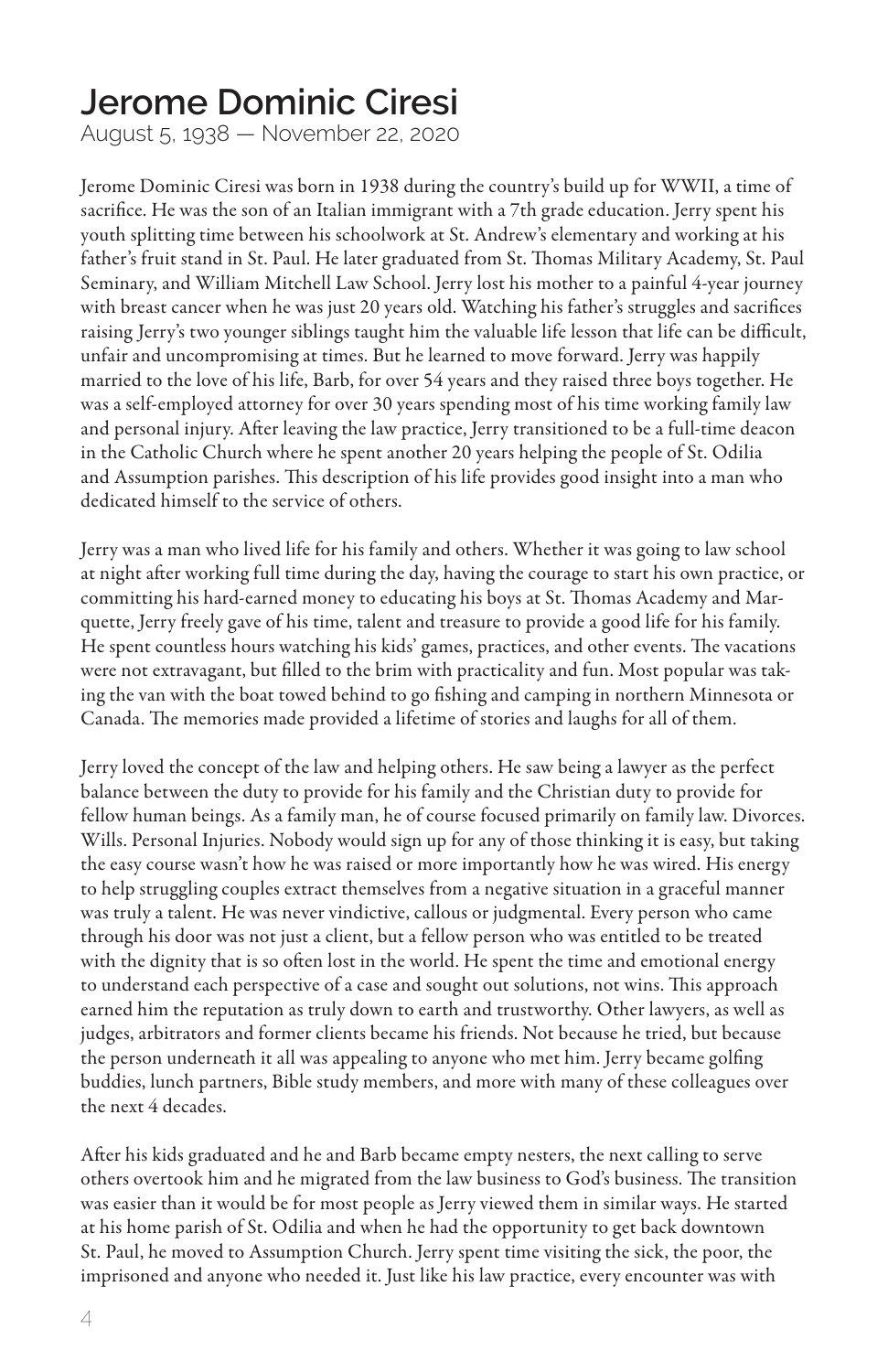#### **Jerome Dominic Ciresi**

August 5, 1938 — November 22, 2020

Jerome Dominic Ciresi was born in 1938 during the country's build up for WWII, a time of sacrifice. He was the son of an Italian immigrant with a 7th grade education. Jerry spent his youth splitting time between his schoolwork at St. Andrew's elementary and working at his father's fruit stand in St. Paul. He later graduated from St. Thomas Military Academy, St. Paul Seminary, and William Mitchell Law School. Jerry lost his mother to a painful 4-year journey with breast cancer when he was just 20 years old. Watching his father's struggles and sacrifices raising Jerry's two younger siblings taught him the valuable life lesson that life can be difficult, unfair and uncompromising at times. But he learned to move forward. Jerry was happily married to the love of his life, Barb, for over 54 years and they raised three boys together. He was a self-employed attorney for over 30 years spending most of his time working family law and personal injury. After leaving the law practice, Jerry transitioned to be a full-time deacon in the Catholic Church where he spent another 20 years helping the people of St. Odilia and Assumption parishes. This description of his life provides good insight into a man who dedicated himself to the service of others.

Jerry was a man who lived life for his family and others. Whether it was going to law school at night after working full time during the day, having the courage to start his own practice, or committing his hard-earned money to educating his boys at St. Thomas Academy and Marquette, Jerry freely gave of his time, talent and treasure to provide a good life for his family. He spent countless hours watching his kids' games, practices, and other events. The vacations were not extravagant, but filled to the brim with practicality and fun. Most popular was taking the van with the boat towed behind to go fishing and camping in northern Minnesota or Canada. The memories made provided a lifetime of stories and laughs for all of them.

Jerry loved the concept of the law and helping others. He saw being a lawyer as the perfect balance between the duty to provide for his family and the Christian duty to provide for fellow human beings. As a family man, he of course focused primarily on family law. Divorces. Wills. Personal Injuries. Nobody would sign up for any of those thinking it is easy, but taking the easy course wasn't how he was raised or more importantly how he was wired. His energy to help struggling couples extract themselves from a negative situation in a graceful manner was truly a talent. He was never vindictive, callous or judgmental. Every person who came through his door was not just a client, but a fellow person who was entitled to be treated with the dignity that is so often lost in the world. He spent the time and emotional energy to understand each perspective of a case and sought out solutions, not wins. This approach earned him the reputation as truly down to earth and trustworthy. Other lawyers, as well as judges, arbitrators and former clients became his friends. Not because he tried, but because the person underneath it all was appealing to anyone who met him. Jerry became golfing buddies, lunch partners, Bible study members, and more with many of these colleagues over the next 4 decades.

After his kids graduated and he and Barb became empty nesters, the next calling to serve others overtook him and he migrated from the law business to God's business. The transition was easier than it would be for most people as Jerry viewed them in similar ways. He started at his home parish of St. Odilia and when he had the opportunity to get back downtown St. Paul, he moved to Assumption Church. Jerry spent time visiting the sick, the poor, the imprisoned and anyone who needed it. Just like his law practice, every encounter was with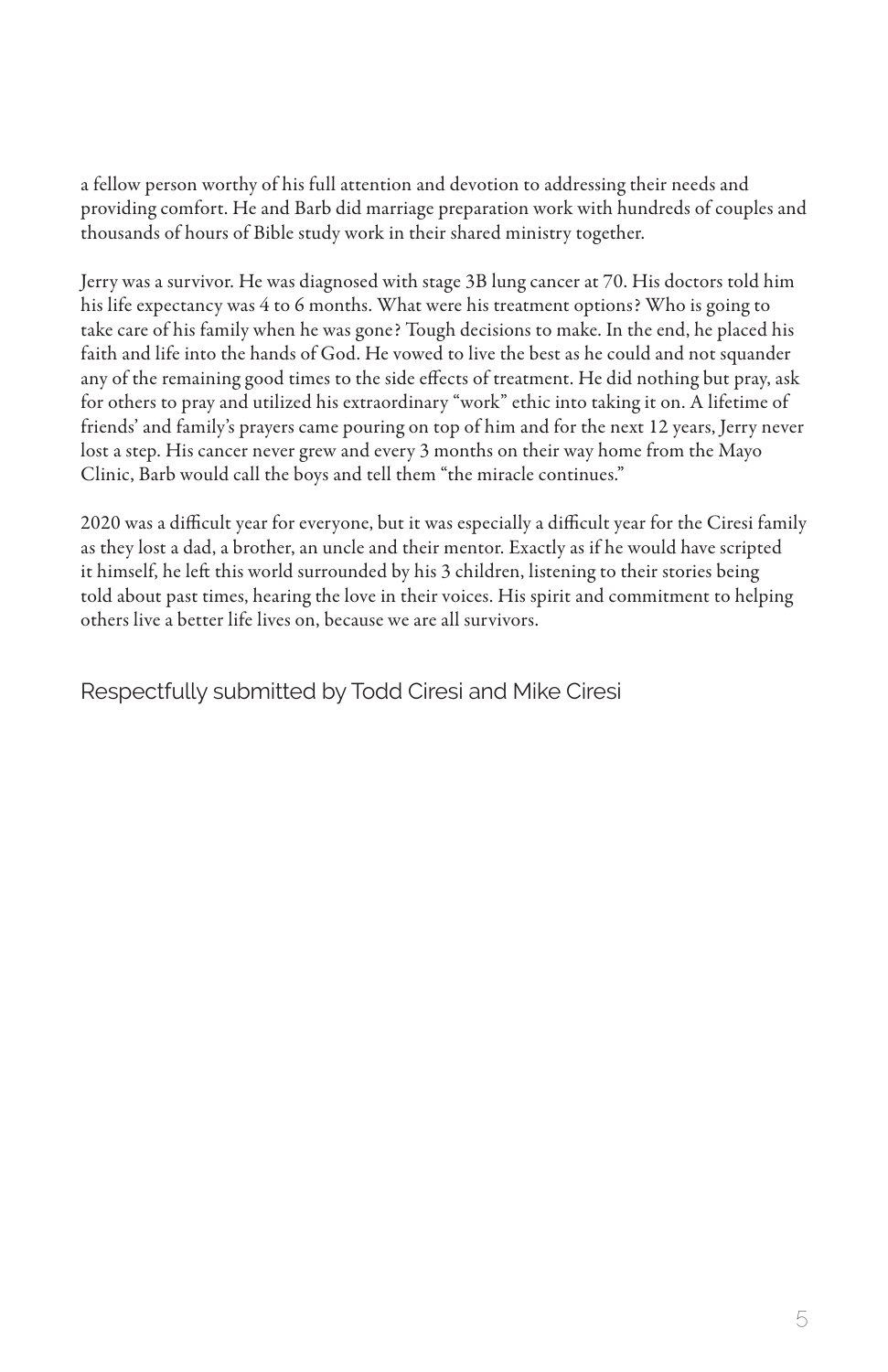a fellow person worthy of his full attention and devotion to addressing their needs and providing comfort. He and Barb did marriage preparation work with hundreds of couples and thousands of hours of Bible study work in their shared ministry together.

Jerry was a survivor. He was diagnosed with stage 3B lung cancer at 70. His doctors told him his life expectancy was 4 to 6 months. What were his treatment options? Who is going to take care of his family when he was gone? Tough decisions to make. In the end, he placed his faith and life into the hands of God. He vowed to live the best as he could and not squander any of the remaining good times to the side effects of treatment. He did nothing but pray, ask for others to pray and utilized his extraordinary "work" ethic into taking it on. A lifetime of friends' and family's prayers came pouring on top of him and for the next 12 years, Jerry never lost a step. His cancer never grew and every 3 months on their way home from the Mayo Clinic, Barb would call the boys and tell them "the miracle continues."

2020 was a difficult year for everyone, but it was especially a difficult year for the Ciresi family as they lost a dad, a brother, an uncle and their mentor. Exactly as if he would have scripted it himself, he left this world surrounded by his 3 children, listening to their stories being told about past times, hearing the love in their voices. His spirit and commitment to helping others live a better life lives on, because we are all survivors.

Respectfully submitted by Todd Ciresi and Mike Ciresi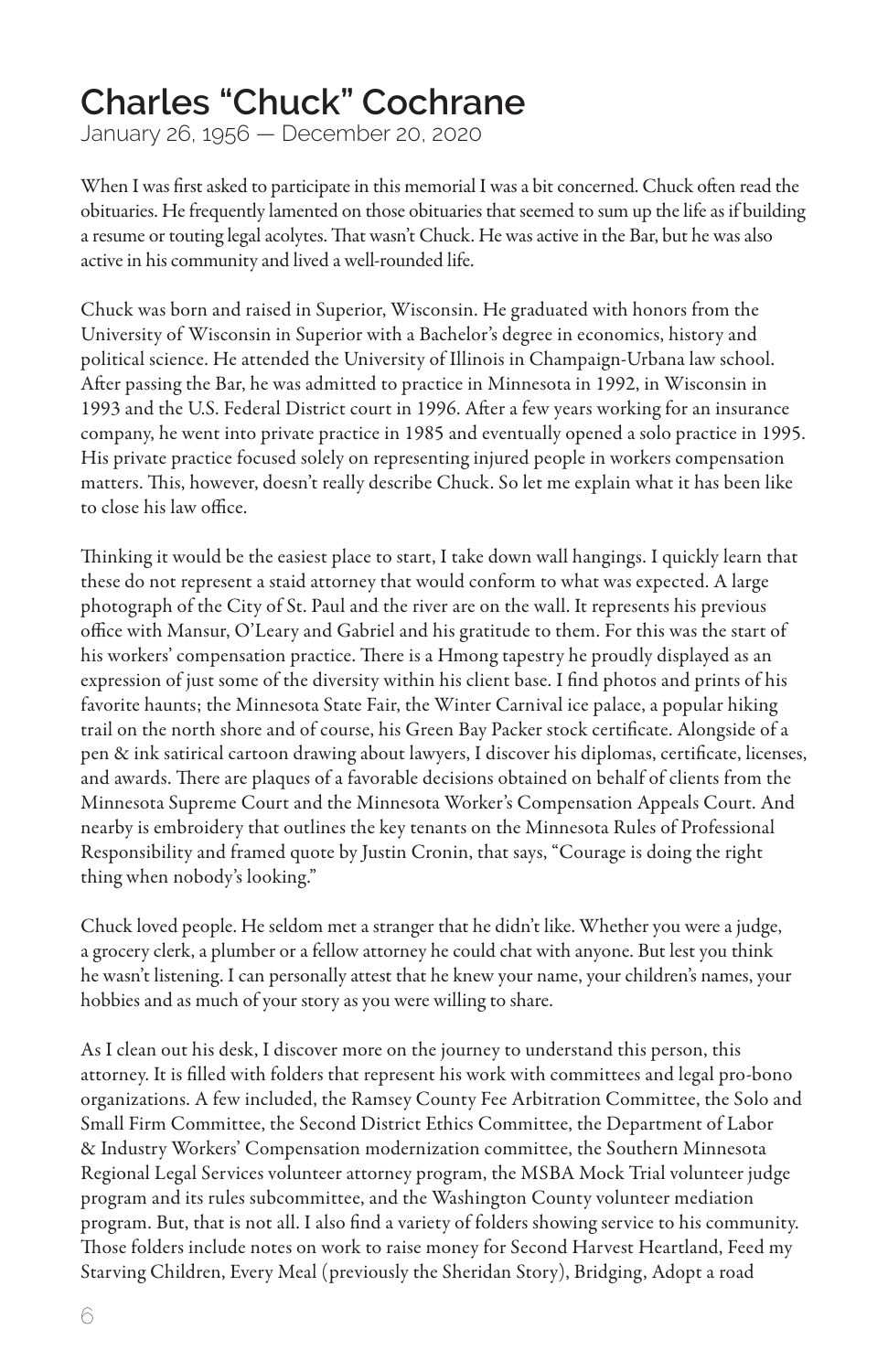#### **Charles "Chuck" Cochrane**

January 26, 1956 — December 20, 2020

When I was first asked to participate in this memorial I was a bit concerned. Chuck often read the obituaries. He frequently lamented on those obituaries that seemed to sum up the life as if building a resume or touting legal acolytes. That wasn't Chuck. He was active in the Bar, but he was also active in his community and lived a well-rounded life.

Chuck was born and raised in Superior, Wisconsin. He graduated with honors from the University of Wisconsin in Superior with a Bachelor's degree in economics, history and political science. He attended the University of Illinois in Champaign-Urbana law school. After passing the Bar, he was admitted to practice in Minnesota in 1992, in Wisconsin in 1993 and the U.S. Federal District court in 1996. After a few years working for an insurance company, he went into private practice in 1985 and eventually opened a solo practice in 1995. His private practice focused solely on representing injured people in workers compensation matters. This, however, doesn't really describe Chuck. So let me explain what it has been like to close his law office.

Thinking it would be the easiest place to start, I take down wall hangings. I quickly learn that these do not represent a staid attorney that would conform to what was expected. A large photograph of the City of St. Paul and the river are on the wall. It represents his previous office with Mansur, O'Leary and Gabriel and his gratitude to them. For this was the start of his workers' compensation practice. There is a Hmong tapestry he proudly displayed as an expression of just some of the diversity within his client base. I find photos and prints of his favorite haunts; the Minnesota State Fair, the Winter Carnival ice palace, a popular hiking trail on the north shore and of course, his Green Bay Packer stock certificate. Alongside of a pen & ink satirical cartoon drawing about lawyers, I discover his diplomas, certificate, licenses, and awards. There are plaques of a favorable decisions obtained on behalf of clients from the Minnesota Supreme Court and the Minnesota Worker's Compensation Appeals Court. And nearby is embroidery that outlines the key tenants on the Minnesota Rules of Professional Responsibility and framed quote by Justin Cronin, that says, "Courage is doing the right thing when nobody's looking."

Chuck loved people. He seldom met a stranger that he didn't like. Whether you were a judge, a grocery clerk, a plumber or a fellow attorney he could chat with anyone. But lest you think he wasn't listening. I can personally attest that he knew your name, your children's names, your hobbies and as much of your story as you were willing to share.

As I clean out his desk, I discover more on the journey to understand this person, this attorney. It is filled with folders that represent his work with committees and legal pro-bono organizations. A few included, the Ramsey County Fee Arbitration Committee, the Solo and Small Firm Committee, the Second District Ethics Committee, the Department of Labor & Industry Workers' Compensation modernization committee, the Southern Minnesota Regional Legal Services volunteer attorney program, the MSBA Mock Trial volunteer judge program and its rules subcommittee, and the Washington County volunteer mediation program. But, that is not all. I also find a variety of folders showing service to his community. Those folders include notes on work to raise money for Second Harvest Heartland, Feed my Starving Children, Every Meal (previously the Sheridan Story), Bridging, Adopt a road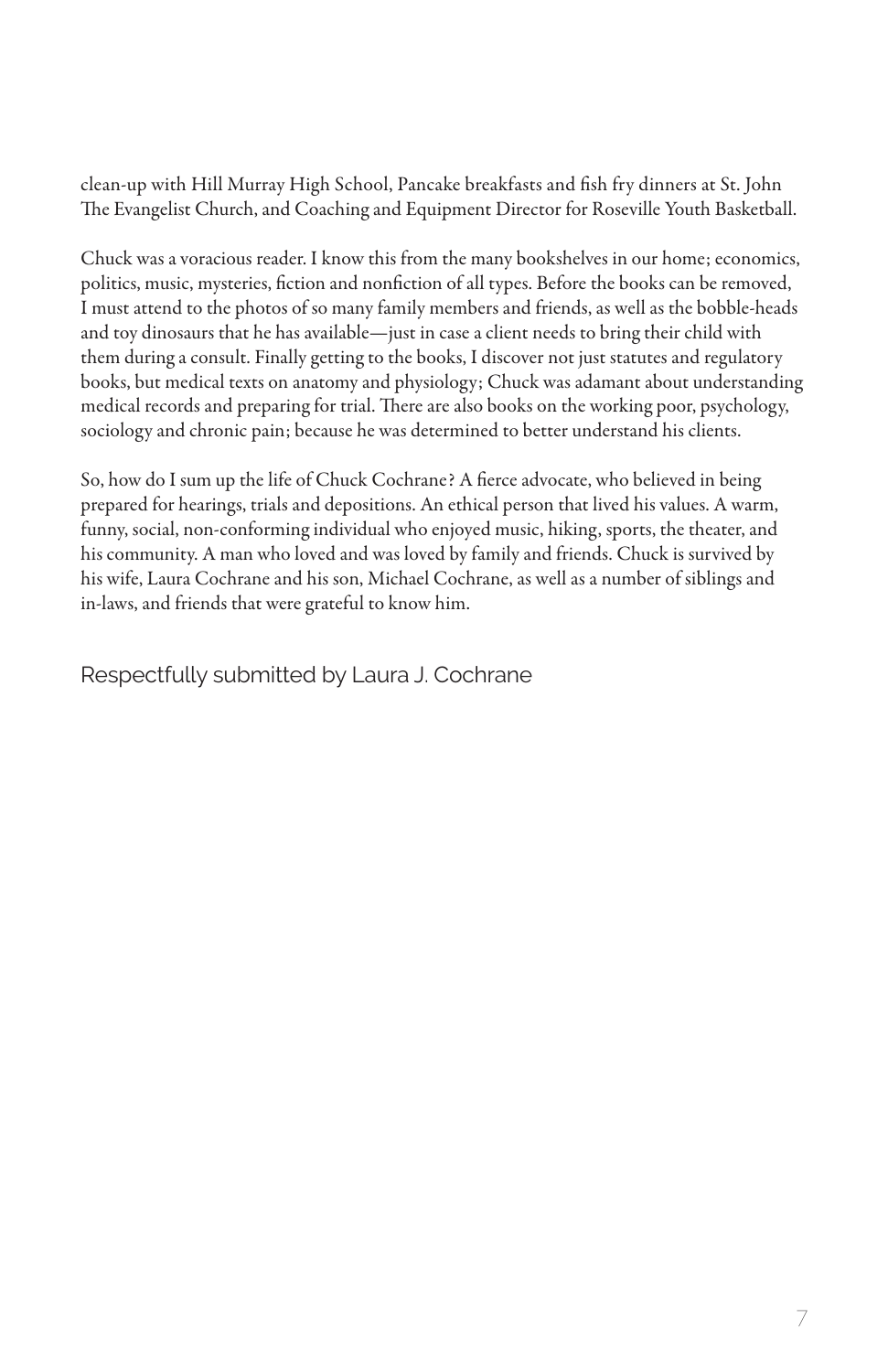clean-up with Hill Murray High School, Pancake breakfasts and fish fry dinners at St. John The Evangelist Church, and Coaching and Equipment Director for Roseville Youth Basketball.

Chuck was a voracious reader. I know this from the many bookshelves in our home; economics, politics, music, mysteries, fiction and nonfiction of all types. Before the books can be removed, I must attend to the photos of so many family members and friends, as well as the bobble-heads and toy dinosaurs that he has available—just in case a client needs to bring their child with them during a consult. Finally getting to the books, I discover not just statutes and regulatory books, but medical texts on anatomy and physiology; Chuck was adamant about understanding medical records and preparing for trial. There are also books on the working poor, psychology, sociology and chronic pain; because he was determined to better understand his clients.

So, how do I sum up the life of Chuck Cochrane? A fierce advocate, who believed in being prepared for hearings, trials and depositions. An ethical person that lived his values. A warm, funny, social, non-conforming individual who enjoyed music, hiking, sports, the theater, and his community. A man who loved and was loved by family and friends. Chuck is survived by his wife, Laura Cochrane and his son, Michael Cochrane, as well as a number of siblings and in-laws, and friends that were grateful to know him.

Respectfully submitted by Laura J. Cochrane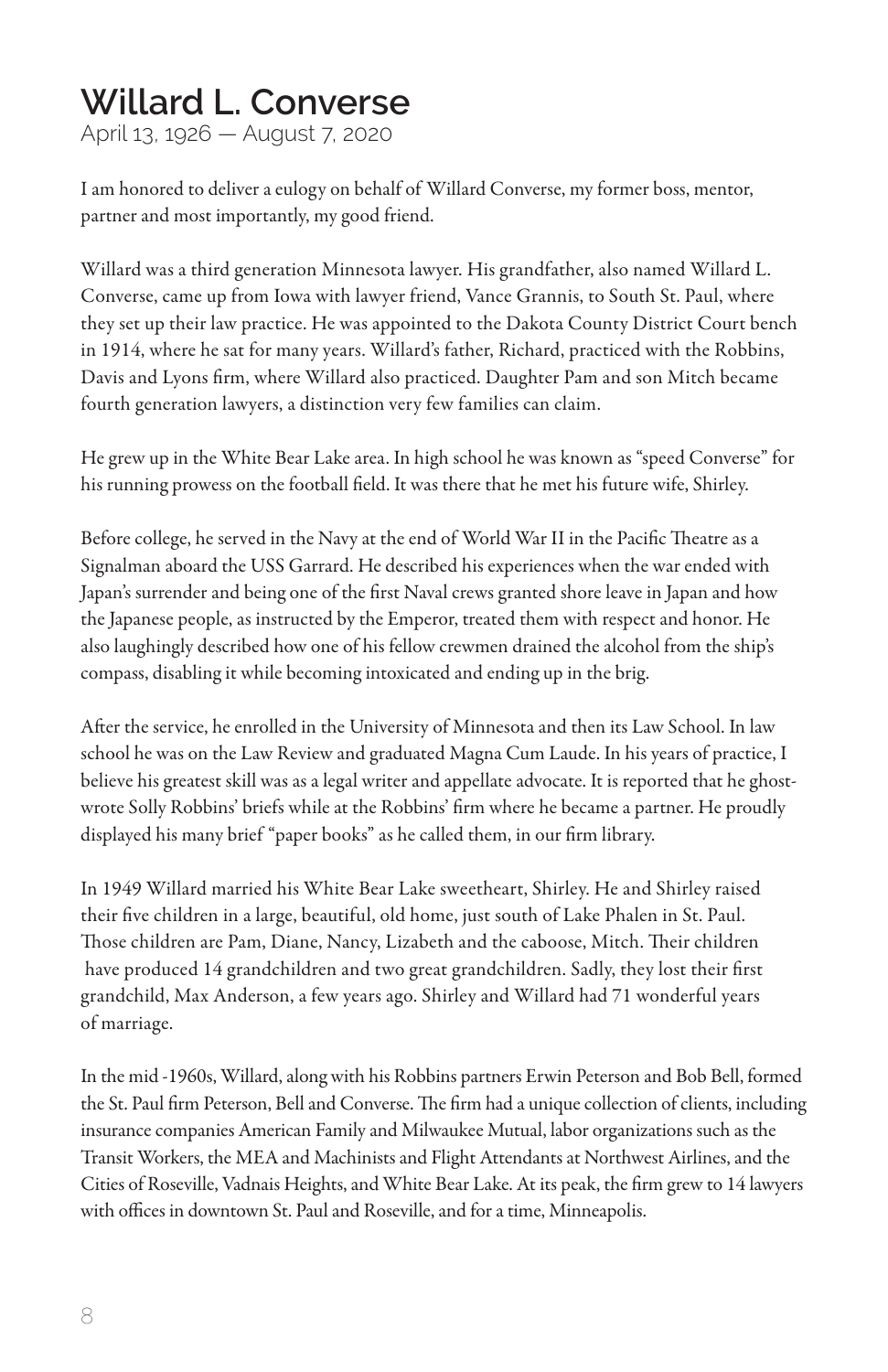#### **Willard L. Converse**

April 13, 1926 — August 7, 2020

I am honored to deliver a eulogy on behalf of Willard Converse, my former boss, mentor, partner and most importantly, my good friend.

Willard was a third generation Minnesota lawyer. His grandfather, also named Willard L. Converse, came up from Iowa with lawyer friend, Vance Grannis, to South St. Paul, where they set up their law practice. He was appointed to the Dakota County District Court bench in 1914, where he sat for many years. Willard's father, Richard, practiced with the Robbins, Davis and Lyons firm, where Willard also practiced. Daughter Pam and son Mitch became fourth generation lawyers, a distinction very few families can claim.

He grew up in the White Bear Lake area. In high school he was known as "speed Converse" for his running prowess on the football field. It was there that he met his future wife, Shirley.

Before college, he served in the Navy at the end of World War II in the Pacific Theatre as a Signalman aboard the USS Garrard. He described his experiences when the war ended with Japan's surrender and being one of the first Naval crews granted shore leave in Japan and how the Japanese people, as instructed by the Emperor, treated them with respect and honor. He also laughingly described how one of his fellow crewmen drained the alcohol from the ship's compass, disabling it while becoming intoxicated and ending up in the brig.

After the service, he enrolled in the University of Minnesota and then its Law School. In law school he was on the Law Review and graduated Magna Cum Laude. In his years of practice, I believe his greatest skill was as a legal writer and appellate advocate. It is reported that he ghostwrote Solly Robbins' briefs while at the Robbins' firm where he became a partner. He proudly displayed his many brief "paper books" as he called them, in our firm library.

In 1949 Willard married his White Bear Lake sweetheart, Shirley. He and Shirley raised their five children in a large, beautiful, old home, just south of Lake Phalen in St. Paul. Those children are Pam, Diane, Nancy, Lizabeth and the caboose, Mitch. Their children have produced 14 grandchildren and two great grandchildren. Sadly, they lost their first grandchild, Max Anderson, a few years ago. Shirley and Willard had 71 wonderful years of marriage.

In the mid -1960s, Willard, along with his Robbins partners Erwin Peterson and Bob Bell, formed the St. Paul firm Peterson, Bell and Converse. The firm had a unique collection of clients, including insurance companies American Family and Milwaukee Mutual, labor organizations such as the Transit Workers, the MEA and Machinists and Flight Attendants at Northwest Airlines, and the Cities of Roseville, Vadnais Heights, and White Bear Lake. At its peak, the firm grew to 14 lawyers with offices in downtown St. Paul and Roseville, and for a time, Minneapolis.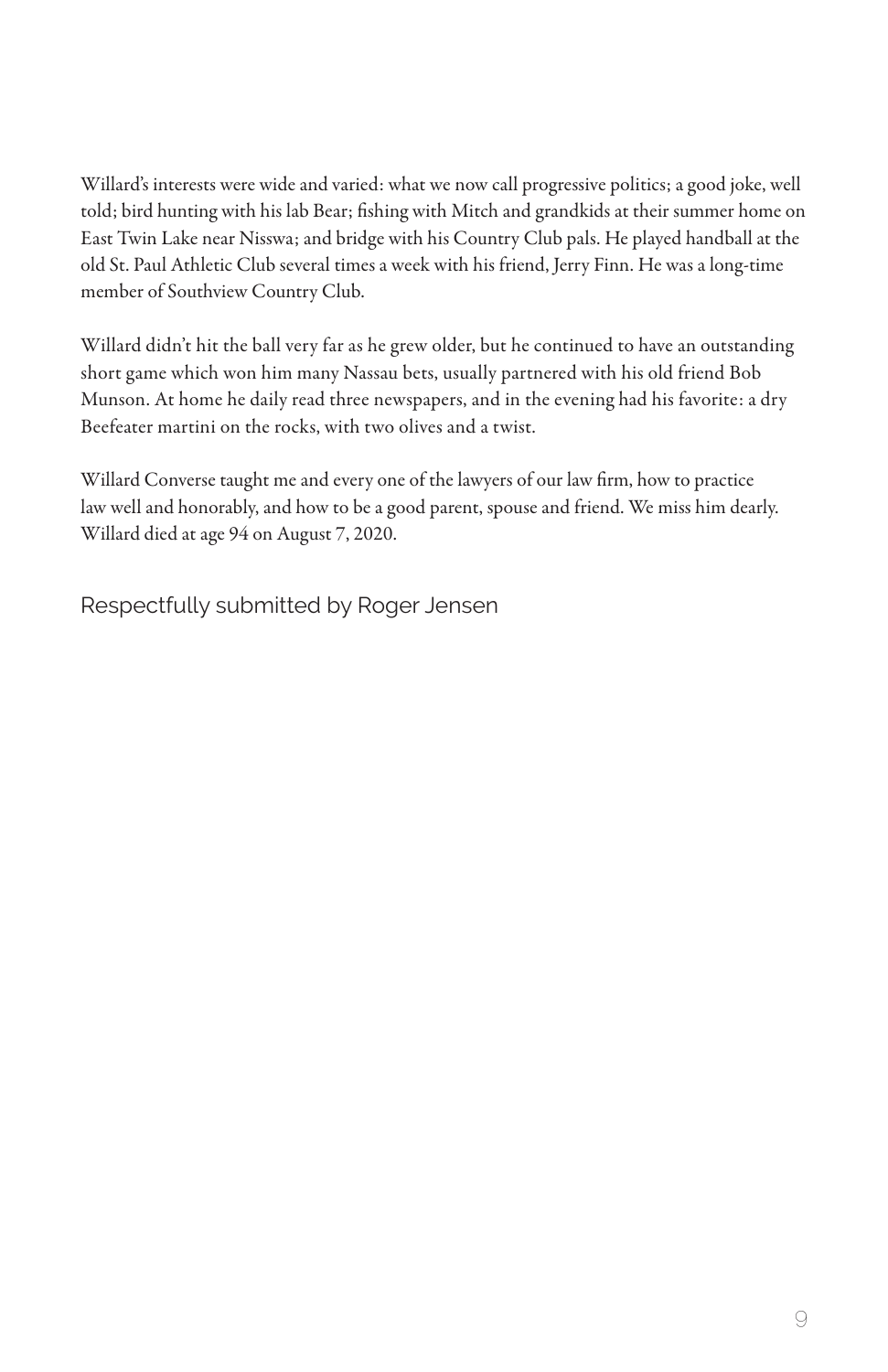Willard's interests were wide and varied: what we now call progressive politics; a good joke, well told; bird hunting with his lab Bear; fishing with Mitch and grandkids at their summer home on East Twin Lake near Nisswa; and bridge with his Country Club pals. He played handball at the old St. Paul Athletic Club several times a week with his friend, Jerry Finn. He was a long-time member of Southview Country Club.

Willard didn't hit the ball very far as he grew older, but he continued to have an outstanding short game which won him many Nassau bets, usually partnered with his old friend Bob Munson. At home he daily read three newspapers, and in the evening had his favorite: a dry Beefeater martini on the rocks, with two olives and a twist.

Willard Converse taught me and every one of the lawyers of our law firm, how to practice law well and honorably, and how to be a good parent, spouse and friend. We miss him dearly. Willard died at age 94 on August 7, 2020.

Respectfully submitted by Roger Jensen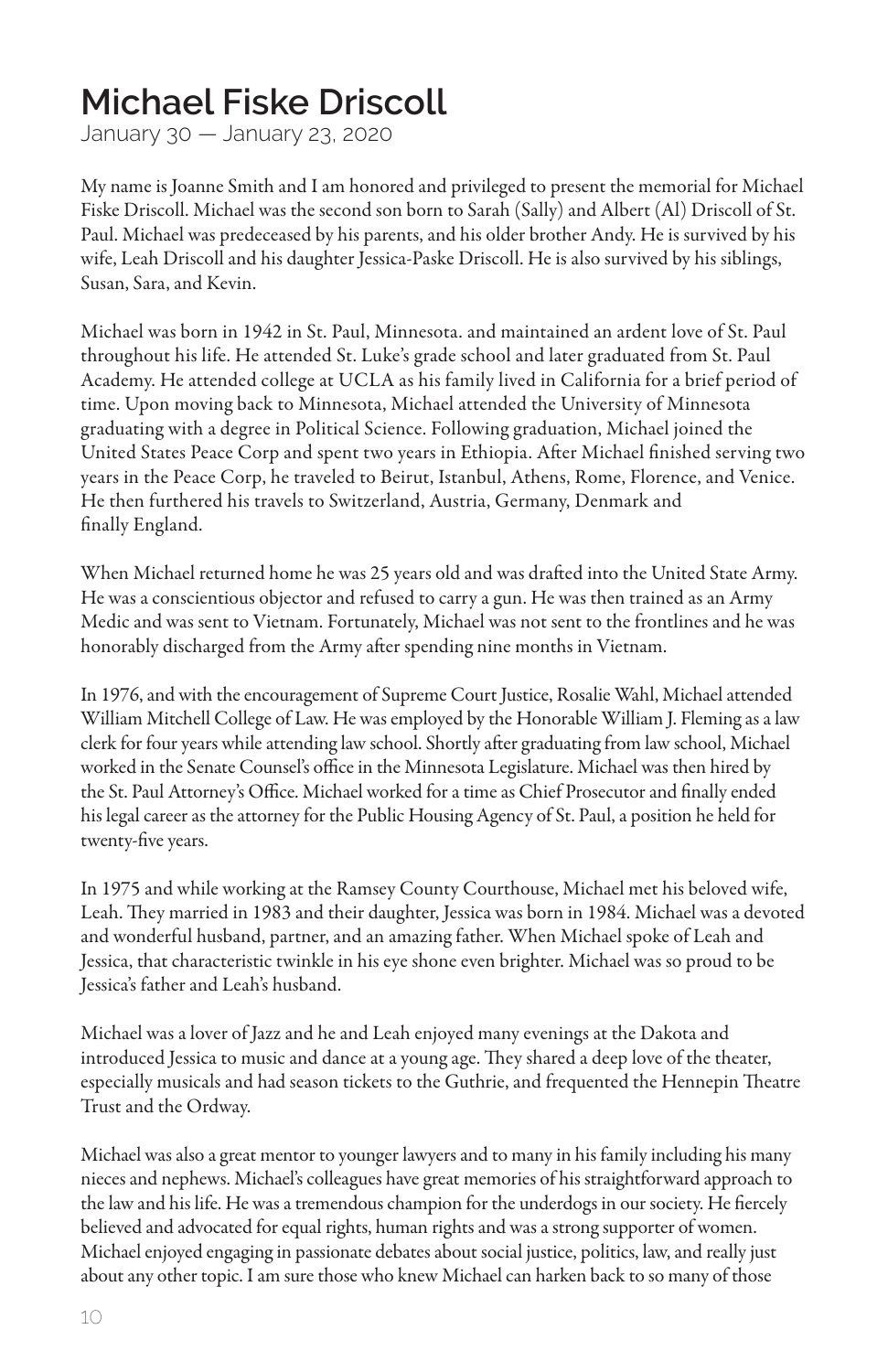#### **Michael Fiske Driscoll**

January 30 — January 23, 2020

My name is Joanne Smith and I am honored and privileged to present the memorial for Michael Fiske Driscoll. Michael was the second son born to Sarah (Sally) and Albert (Al) Driscoll of St. Paul. Michael was predeceased by his parents, and his older brother Andy. He is survived by his wife, Leah Driscoll and his daughter Jessica-Paske Driscoll. He is also survived by his siblings, Susan, Sara, and Kevin.

Michael was born in 1942 in St. Paul, Minnesota. and maintained an ardent love of St. Paul throughout his life. He attended St. Luke's grade school and later graduated from St. Paul Academy. He attended college at UCLA as his family lived in California for a brief period of time. Upon moving back to Minnesota, Michael attended the University of Minnesota graduating with a degree in Political Science. Following graduation, Michael joined the United States Peace Corp and spent two years in Ethiopia. After Michael finished serving two years in the Peace Corp, he traveled to Beirut, Istanbul, Athens, Rome, Florence, and Venice. He then furthered his travels to Switzerland, Austria, Germany, Denmark and finally England.

When Michael returned home he was 25 years old and was drafted into the United State Army. He was a conscientious objector and refused to carry a gun. He was then trained as an Army Medic and was sent to Vietnam. Fortunately, Michael was not sent to the frontlines and he was honorably discharged from the Army after spending nine months in Vietnam.

In 1976, and with the encouragement of Supreme Court Justice, Rosalie Wahl, Michael attended William Mitchell College of Law. He was employed by the Honorable William J. Fleming as a law clerk for four years while attending law school. Shortly after graduating from law school, Michael worked in the Senate Counsel's office in the Minnesota Legislature. Michael was then hired by the St. Paul Attorney's Office. Michael worked for a time as Chief Prosecutor and finally ended his legal career as the attorney for the Public Housing Agency of St. Paul, a position he held for twenty-five years.

In 1975 and while working at the Ramsey County Courthouse, Michael met his beloved wife, Leah. They married in 1983 and their daughter, Jessica was born in 1984. Michael was a devoted and wonderful husband, partner, and an amazing father. When Michael spoke of Leah and Jessica, that characteristic twinkle in his eye shone even brighter. Michael was so proud to be Jessica's father and Leah's husband.

Michael was a lover of Jazz and he and Leah enjoyed many evenings at the Dakota and introduced Jessica to music and dance at a young age. They shared a deep love of the theater, especially musicals and had season tickets to the Guthrie, and frequented the Hennepin Theatre Trust and the Ordway.

Michael was also a great mentor to younger lawyers and to many in his family including his many nieces and nephews. Michael's colleagues have great memories of his straightforward approach to the law and his life. He was a tremendous champion for the underdogs in our society. He fiercely believed and advocated for equal rights, human rights and was a strong supporter of women. Michael enjoyed engaging in passionate debates about social justice, politics, law, and really just about any other topic. I am sure those who knew Michael can harken back to so many of those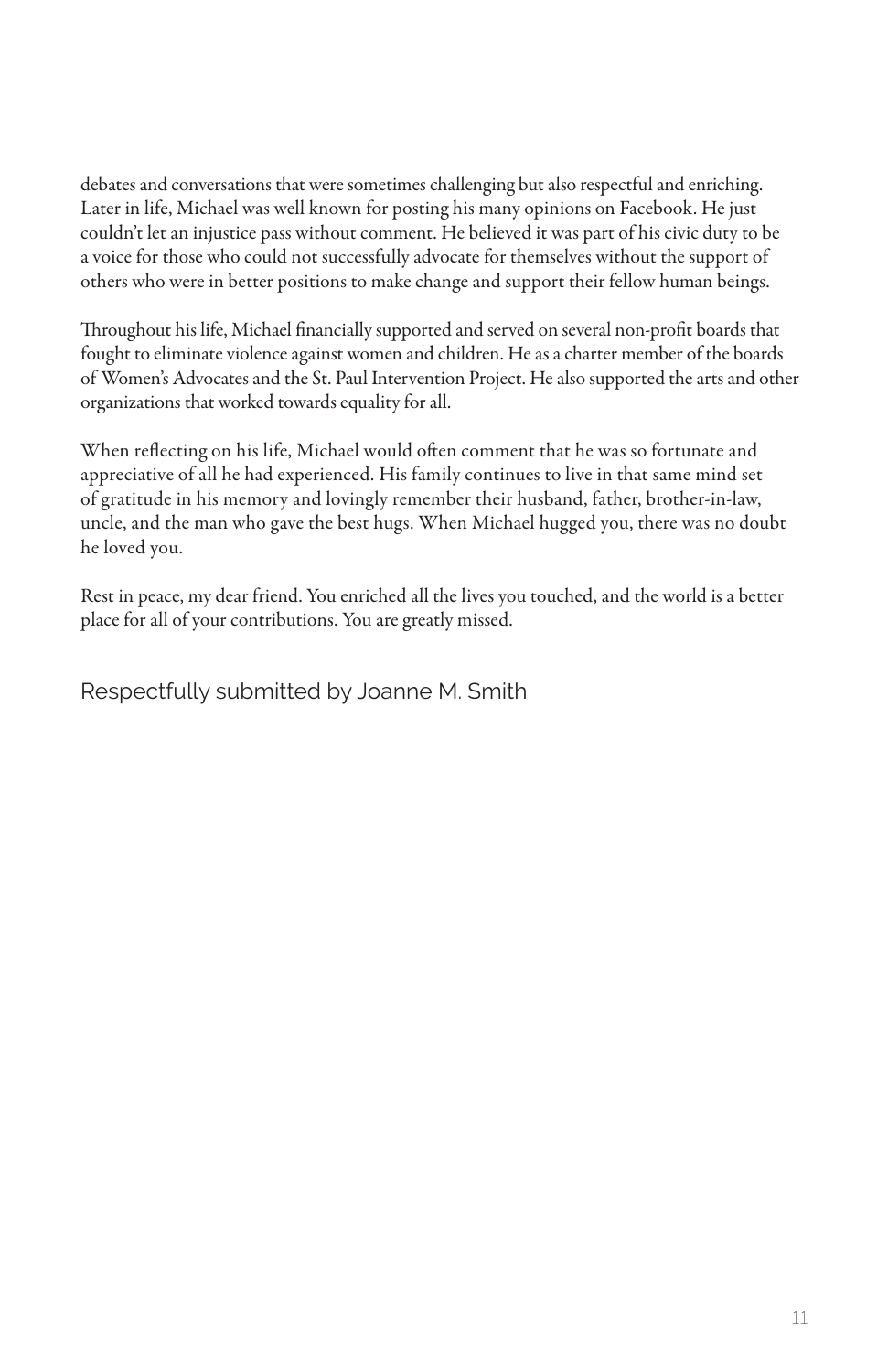debates and conversations that were sometimes challenging but also respectful and enriching. Later in life, Michael was well known for posting his many opinions on Facebook. He just couldn't let an injustice pass without comment. He believed it was part of his civic duty to be a voice for those who could not successfully advocate for themselves without the support of others who were in better positions to make change and support their fellow human beings.

Throughout his life, Michael financially supported and served on several non-profit boards that fought to eliminate violence against women and children. He as a charter member of the boards of Women's Advocates and the St. Paul Intervention Project. He also supported the arts and other organizations that worked towards equality for all.

When reflecting on his life, Michael would often comment that he was so fortunate and appreciative of all he had experienced. His family continues to live in that same mind set of gratitude in his memory and lovingly remember their husband, father, brother-in-law, uncle, and the man who gave the best hugs. When Michael hugged you, there was no doubt he loved you.

Rest in peace, my dear friend. You enriched all the lives you touched, and the world is a better place for all of your contributions. You are greatly missed.

Respectfully submitted by Joanne M. Smith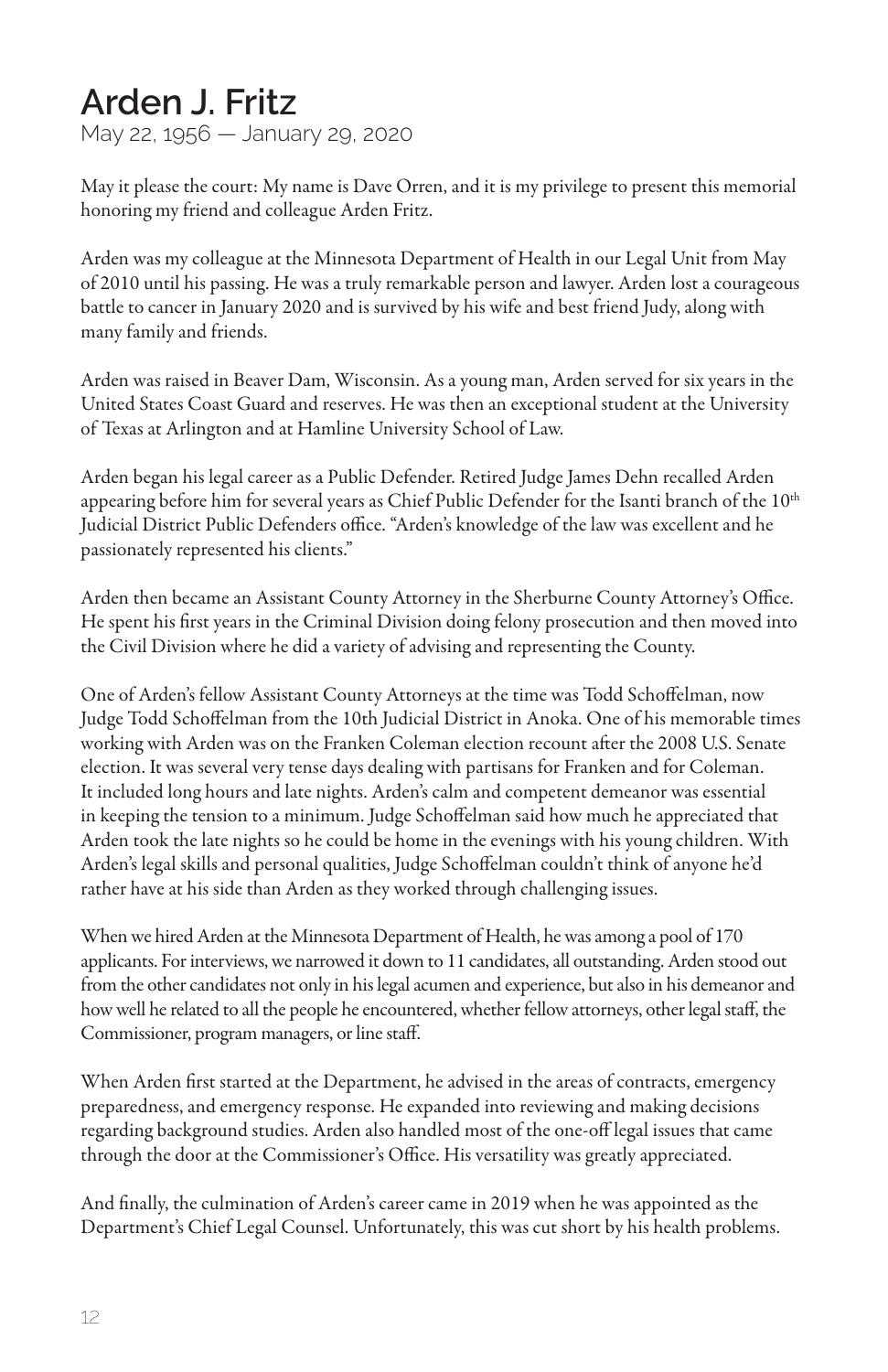#### **Arden J. Fritz**

May 22, 1956 — January 29, 2020

May it please the court: My name is Dave Orren, and it is my privilege to present this memorial honoring my friend and colleague Arden Fritz.

Arden was my colleague at the Minnesota Department of Health in our Legal Unit from May of 2010 until his passing. He was a truly remarkable person and lawyer. Arden lost a courageous battle to cancer in January 2020 and is survived by his wife and best friend Judy, along with many family and friends.

Arden was raised in Beaver Dam, Wisconsin. As a young man, Arden served for six years in the United States Coast Guard and reserves. He was then an exceptional student at the University of Texas at Arlington and at Hamline University School of Law.

Arden began his legal career as a Public Defender. Retired Judge James Dehn recalled Arden appearing before him for several years as Chief Public Defender for the Isanti branch of the 10<sup>th</sup> Judicial District Public Defenders office. "Arden's knowledge of the law was excellent and he passionately represented his clients."

Arden then became an Assistant County Attorney in the Sherburne County Attorney's Office. He spent his first years in the Criminal Division doing felony prosecution and then moved into the Civil Division where he did a variety of advising and representing the County.

One of Arden's fellow Assistant County Attorneys at the time was Todd Schoffelman, now Judge Todd Schoffelman from the 10th Judicial District in Anoka. One of his memorable times working with Arden was on the Franken Coleman election recount after the 2008 U.S. Senate election. It was several very tense days dealing with partisans for Franken and for Coleman. It included long hours and late nights. Arden's calm and competent demeanor was essential in keeping the tension to a minimum. Judge Schoffelman said how much he appreciated that Arden took the late nights so he could be home in the evenings with his young children. With Arden's legal skills and personal qualities, Judge Schoffelman couldn't think of anyone he'd rather have at his side than Arden as they worked through challenging issues.

When we hired Arden at the Minnesota Department of Health, he was among a pool of 170 applicants. For interviews, we narrowed it down to 11 candidates, all outstanding. Arden stood out from the other candidates not only in his legal acumen and experience, but also in his demeanor and how well he related to all the people he encountered, whether fellow attorneys, other legal staff, the Commissioner, program managers, or line staff.

When Arden first started at the Department, he advised in the areas of contracts, emergency preparedness, and emergency response. He expanded into reviewing and making decisions regarding background studies. Arden also handled most of the one-off legal issues that came through the door at the Commissioner's Office. His versatility was greatly appreciated.

And finally, the culmination of Arden's career came in 2019 when he was appointed as the Department's Chief Legal Counsel. Unfortunately, this was cut short by his health problems.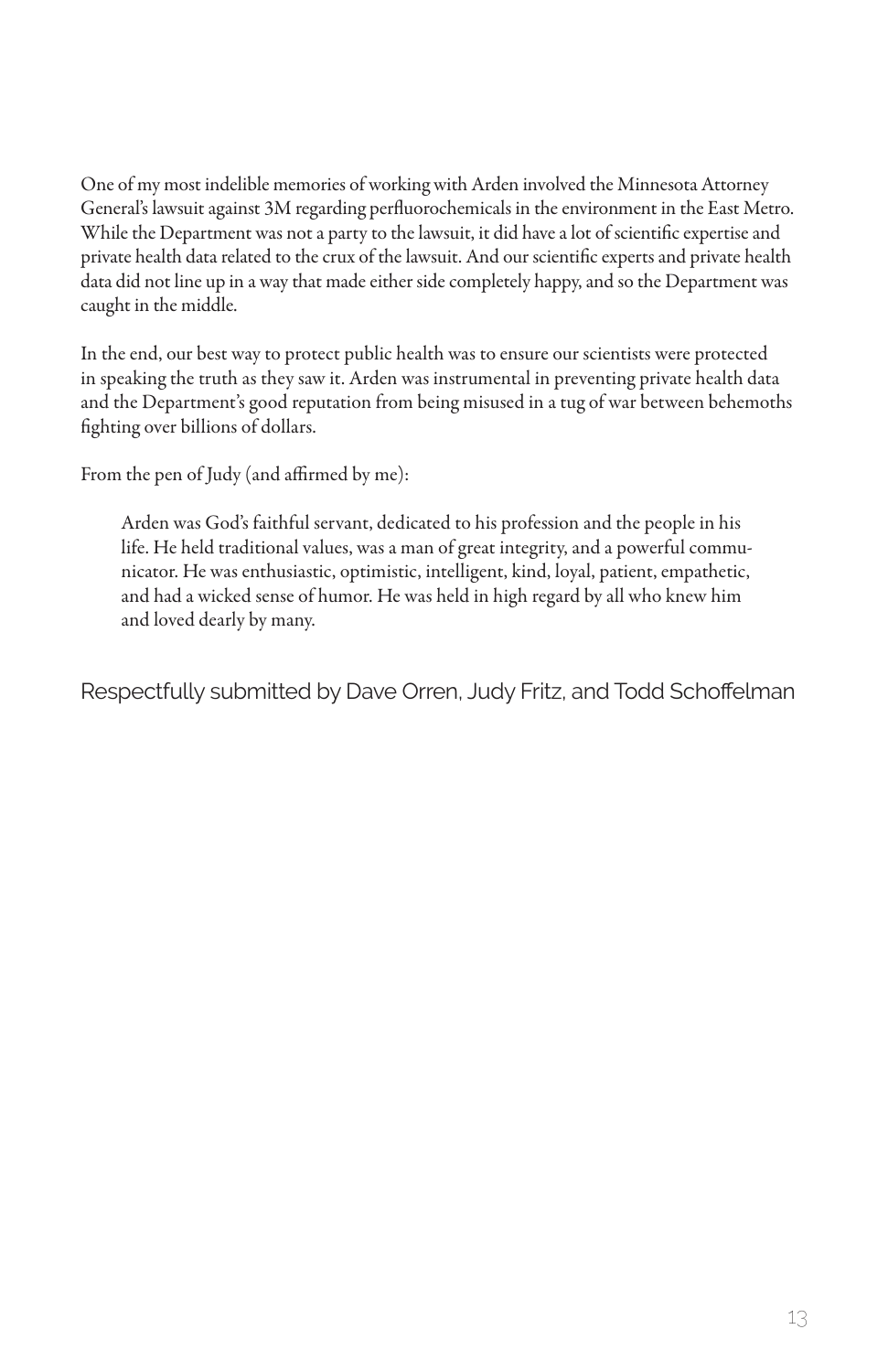One of my most indelible memories of working with Arden involved the Minnesota Attorney General's lawsuit against 3M regarding perfluorochemicals in the environment in the East Metro. While the Department was not a party to the lawsuit, it did have a lot of scientific expertise and private health data related to the crux of the lawsuit. And our scientific experts and private health data did not line up in a way that made either side completely happy, and so the Department was caught in the middle.

In the end, our best way to protect public health was to ensure our scientists were protected in speaking the truth as they saw it. Arden was instrumental in preventing private health data and the Department's good reputation from being misused in a tug of war between behemoths fighting over billions of dollars.

From the pen of Judy (and affirmed by me):

Arden was God's faithful servant, dedicated to his profession and the people in his life. He held traditional values, was a man of great integrity, and a powerful communicator. He was enthusiastic, optimistic, intelligent, kind, loyal, patient, empathetic, and had a wicked sense of humor. He was held in high regard by all who knew him and loved dearly by many.

Respectfully submitted by Dave Orren, Judy Fritz, and Todd Schoffelman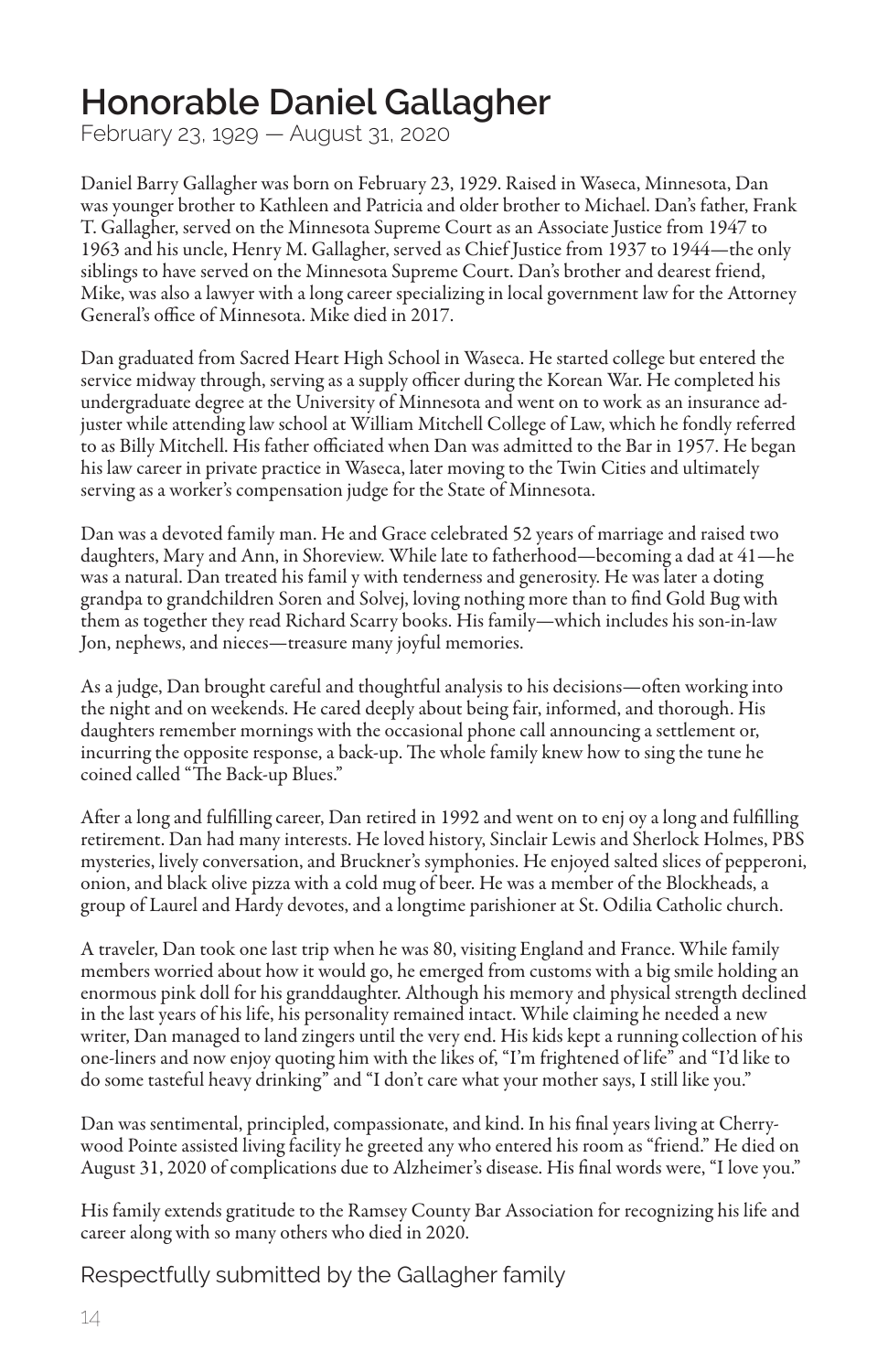#### **Honorable Daniel Gallagher**

February 23, 1929 — August 31, 2020

Daniel Barry Gallagher was born on February 23, 1929. Raised in Waseca, Minnesota, Dan was younger brother to Kathleen and Patricia and older brother to Michael. Dan's father, Frank T. Gallagher, served on the Minnesota Supreme Court as an Associate Justice from 1947 to 1963 and his uncle, Henry M. Gallagher, served as Chief Justice from 1937 to 1944—the only siblings to have served on the Minnesota Supreme Court. Dan's brother and dearest friend, Mike, was also a lawyer with a long career specializing in local government law for the Attorney General's office of Minnesota. Mike died in 2017.

Dan graduated from Sacred Heart High School in Waseca. He started college but entered the service midway through, serving as a supply officer during the Korean War. He completed his undergraduate degree at the University of Minnesota and went on to work as an insurance adjuster while attending law school at William Mitchell College of Law, which he fondly referred to as Billy Mitchell. His father officiated when Dan was admitted to the Bar in 1957. He began his law career in private practice in Waseca, later moving to the Twin Cities and ultimately serving as a worker's compensation judge for the State of Minnesota.

Dan was a devoted family man. He and Grace celebrated 52 years of marriage and raised two daughters, Mary and Ann, in Shoreview. While late to fatherhood—becoming a dad at 41—he was a natural. Dan treated his famil y with tenderness and generosity. He was later a doting grandpa to grandchildren Soren and Solvej, loving nothing more than to find Gold Bug with them as together they read Richard Scarry books. His family—which includes his son-in-law Jon, nephews, and nieces—treasure many joyful memories.

As a judge, Dan brought careful and thoughtful analysis to his decisions—often working into the night and on weekends. He cared deeply about being fair, informed, and thorough. His daughters remember mornings with the occasional phone call announcing a settlement or, incurring the opposite response, a back-up. The whole family knew how to sing the tune he coined called "The Back-up Blues."

After a long and fulfilling career, Dan retired in 1992 and went on to enj oy a long and fulfilling retirement. Dan had many interests. He loved history, Sinclair Lewis and Sherlock Holmes, PBS mysteries, lively conversation, and Bruckner's symphonies. He enjoyed salted slices of pepperoni, onion, and black olive pizza with a cold mug of beer. He was a member of the Blockheads, a group of Laurel and Hardy devotes, and a longtime parishioner at St. Odilia Catholic church.

A traveler, Dan took one last trip when he was 80, visiting England and France. While family members worried about how it would go, he emerged from customs with a big smile holding an enormous pink doll for his granddaughter. Although his memory and physical strength declined in the last years of his life, his personality remained intact. While claiming he needed a new writer, Dan managed to land zingers until the very end. His kids kept a running collection of his one-liners and now enjoy quoting him with the likes of, "I'm frightened of life" and "I'd like to do some tasteful heavy drinking" and "I don't care what your mother says, I still like you."

Dan was sentimental, principled, compassionate, and kind. In his final years living at Cherrywood Pointe assisted living facility he greeted any who entered his room as "friend." He died on August 31, 2020 of complications due to Alzheimer's disease. His final words were, "I love you."

His family extends gratitude to the Ramsey County Bar Association for recognizing his life and career along with so many others who died in 2020.

Respectfully submitted by the Gallagher family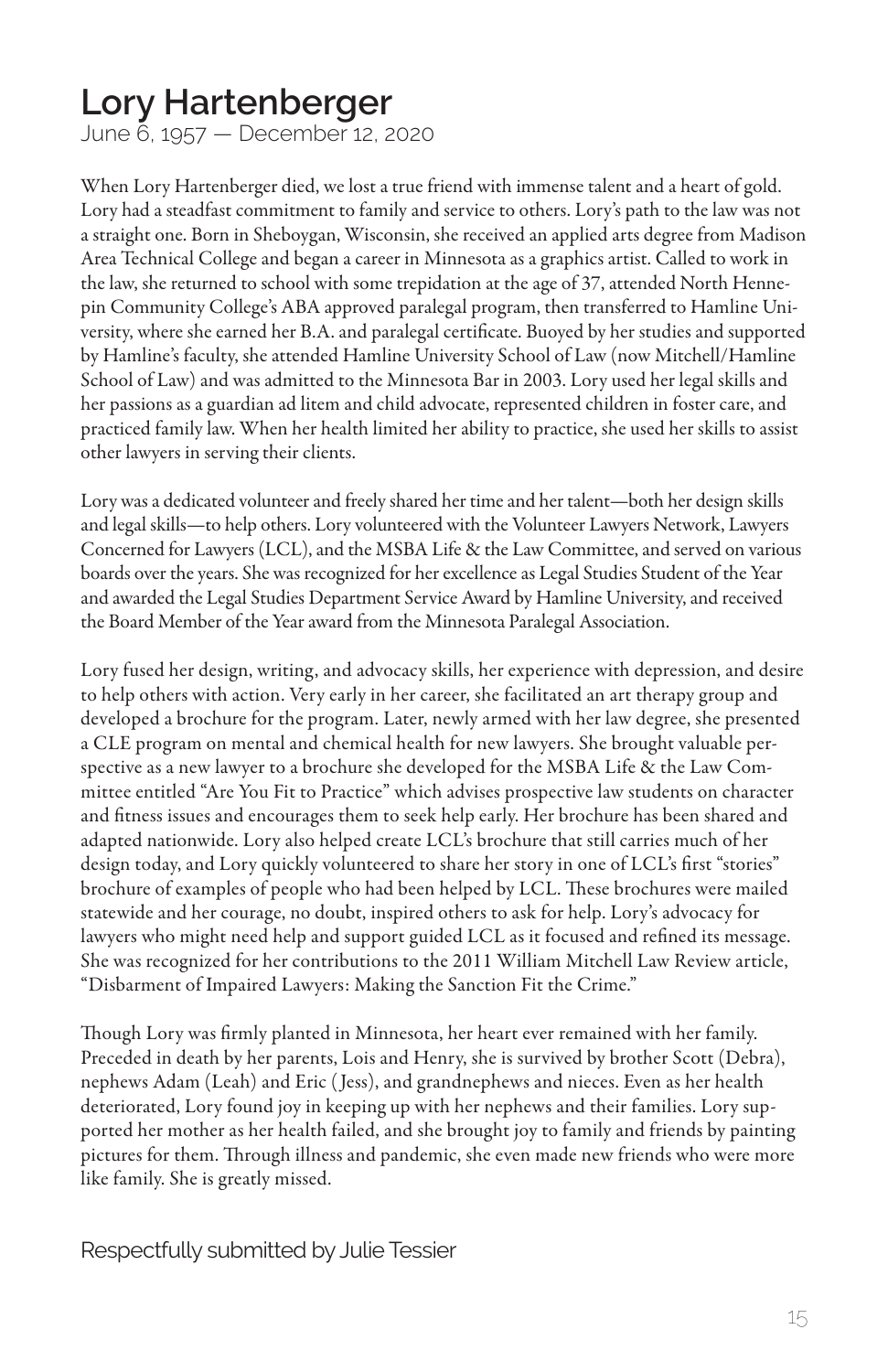#### **Lory Hartenberger**

June 6, 1957 — December 12, 2020

When Lory Hartenberger died, we lost a true friend with immense talent and a heart of gold. Lory had a steadfast commitment to family and service to others. Lory's path to the law was not a straight one. Born in Sheboygan, Wisconsin, she received an applied arts degree from Madison Area Technical College and began a career in Minnesota as a graphics artist. Called to work in the law, she returned to school with some trepidation at the age of 37, attended North Hennepin Community College's ABA approved paralegal program, then transferred to Hamline University, where she earned her B.A. and paralegal certificate. Buoyed by her studies and supported by Hamline's faculty, she attended Hamline University School of Law (now Mitchell/Hamline School of Law) and was admitted to the Minnesota Bar in 2003. Lory used her legal skills and her passions as a guardian ad litem and child advocate, represented children in foster care, and practiced family law. When her health limited her ability to practice, she used her skills to assist other lawyers in serving their clients.

Lory was a dedicated volunteer and freely shared her time and her talent—both her design skills and legal skills—to help others. Lory volunteered with the Volunteer Lawyers Network, Lawyers Concerned for Lawyers (LCL), and the MSBA Life & the Law Committee, and served on various boards over the years. She was recognized for her excellence as Legal Studies Student of the Year and awarded the Legal Studies Department Service Award by Hamline University, and received the Board Member of the Year award from the Minnesota Paralegal Association.

Lory fused her design, writing, and advocacy skills, her experience with depression, and desire to help others with action. Very early in her career, she facilitated an art therapy group and developed a brochure for the program. Later, newly armed with her law degree, she presented a CLE program on mental and chemical health for new lawyers. She brought valuable perspective as a new lawyer to a brochure she developed for the MSBA Life & the Law Committee entitled "Are You Fit to Practice" which advises prospective law students on character and fitness issues and encourages them to seek help early. Her brochure has been shared and adapted nationwide. Lory also helped create LCL's brochure that still carries much of her design today, and Lory quickly volunteered to share her story in one of LCL's first "stories" brochure of examples of people who had been helped by LCL. These brochures were mailed statewide and her courage, no doubt, inspired others to ask for help. Lory's advocacy for lawyers who might need help and support guided LCL as it focused and refined its message. She was recognized for her contributions to the 2011 William Mitchell Law Review article, "Disbarment of Impaired Lawyers: Making the Sanction Fit the Crime."

Though Lory was firmly planted in Minnesota, her heart ever remained with her family. Preceded in death by her parents, Lois and Henry, she is survived by brother Scott (Debra), nephews Adam (Leah) and Eric ( Jess), and grandnephews and nieces. Even as her health deteriorated, Lory found joy in keeping up with her nephews and their families. Lory supported her mother as her health failed, and she brought joy to family and friends by painting pictures for them. Through illness and pandemic, she even made new friends who were more like family. She is greatly missed.

Respectfully submitted by Julie Tessier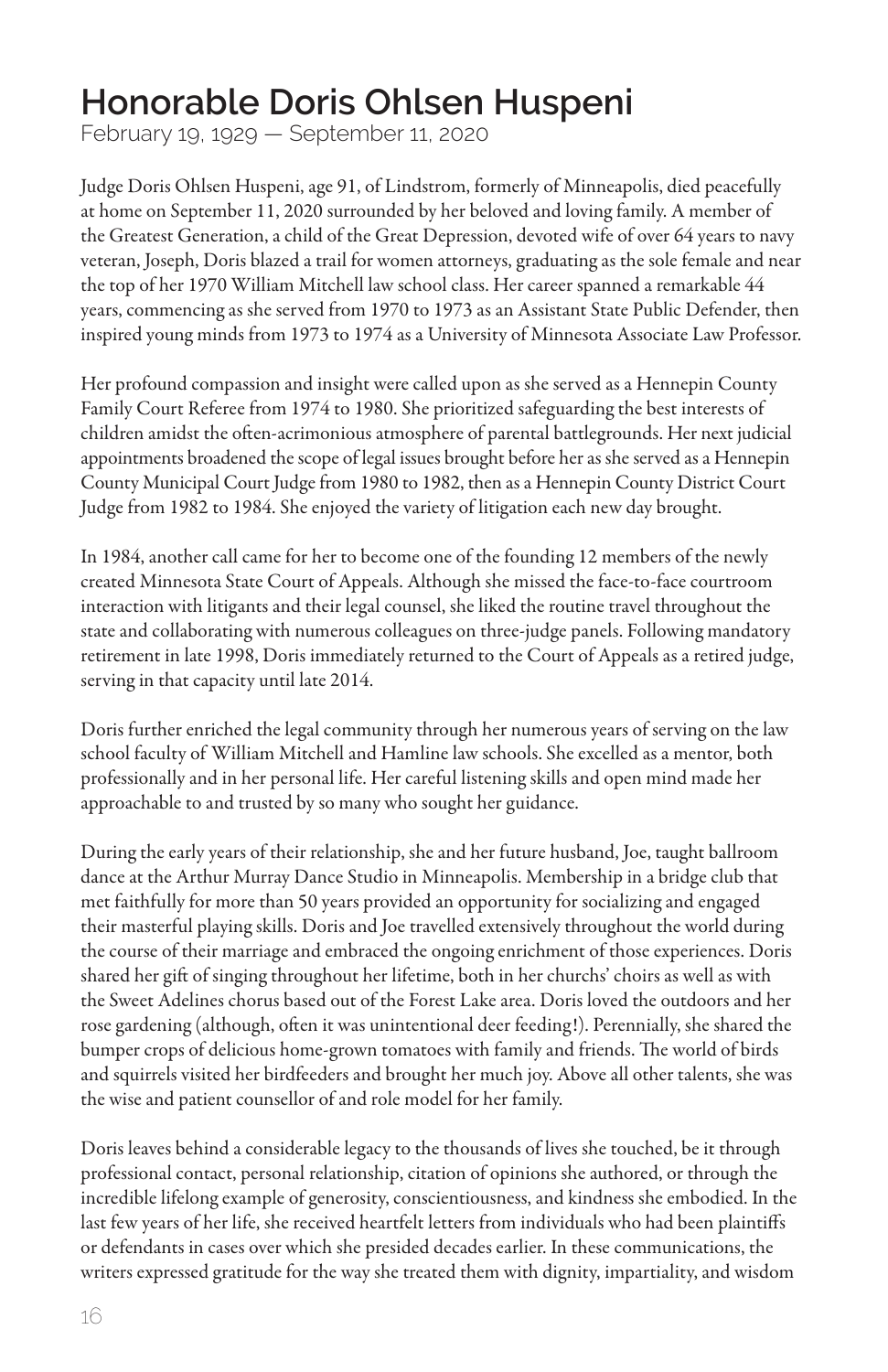#### **Honorable Doris Ohlsen Huspeni**

February 19, 1929 — September 11, 2020

Judge Doris Ohlsen Huspeni, age 91, of Lindstrom, formerly of Minneapolis, died peacefully at home on September 11, 2020 surrounded by her beloved and loving family. A member of the Greatest Generation, a child of the Great Depression, devoted wife of over 64 years to navy veteran, Joseph, Doris blazed a trail for women attorneys, graduating as the sole female and near the top of her 1970 William Mitchell law school class. Her career spanned a remarkable 44 years, commencing as she served from 1970 to 1973 as an Assistant State Public Defender, then inspired young minds from 1973 to 1974 as a University of Minnesota Associate Law Professor.

Her profound compassion and insight were called upon as she served as a Hennepin County Family Court Referee from 1974 to 1980. She prioritized safeguarding the best interests of children amidst the often-acrimonious atmosphere of parental battlegrounds. Her next judicial appointments broadened the scope of legal issues brought before her as she served as a Hennepin County Municipal Court Judge from 1980 to 1982, then as a Hennepin County District Court Judge from 1982 to 1984. She enjoyed the variety of litigation each new day brought.

In 1984, another call came for her to become one of the founding 12 members of the newly created Minnesota State Court of Appeals. Although she missed the face-to-face courtroom interaction with litigants and their legal counsel, she liked the routine travel throughout the state and collaborating with numerous colleagues on three-judge panels. Following mandatory retirement in late 1998, Doris immediately returned to the Court of Appeals as a retired judge, serving in that capacity until late 2014.

Doris further enriched the legal community through her numerous years of serving on the law school faculty of William Mitchell and Hamline law schools. She excelled as a mentor, both professionally and in her personal life. Her careful listening skills and open mind made her approachable to and trusted by so many who sought her guidance.

During the early years of their relationship, she and her future husband, Joe, taught ballroom dance at the Arthur Murray Dance Studio in Minneapolis. Membership in a bridge club that met faithfully for more than 50 years provided an opportunity for socializing and engaged their masterful playing skills. Doris and Joe travelled extensively throughout the world during the course of their marriage and embraced the ongoing enrichment of those experiences. Doris shared her gift of singing throughout her lifetime, both in her churchs' choirs as well as with the Sweet Adelines chorus based out of the Forest Lake area. Doris loved the outdoors and her rose gardening (although, often it was unintentional deer feeding!). Perennially, she shared the bumper crops of delicious home-grown tomatoes with family and friends. The world of birds and squirrels visited her birdfeeders and brought her much joy. Above all other talents, she was the wise and patient counsellor of and role model for her family.

Doris leaves behind a considerable legacy to the thousands of lives she touched, be it through professional contact, personal relationship, citation of opinions she authored, or through the incredible lifelong example of generosity, conscientiousness, and kindness she embodied. In the last few years of her life, she received heartfelt letters from individuals who had been plaintiffs or defendants in cases over which she presided decades earlier. In these communications, the writers expressed gratitude for the way she treated them with dignity, impartiality, and wisdom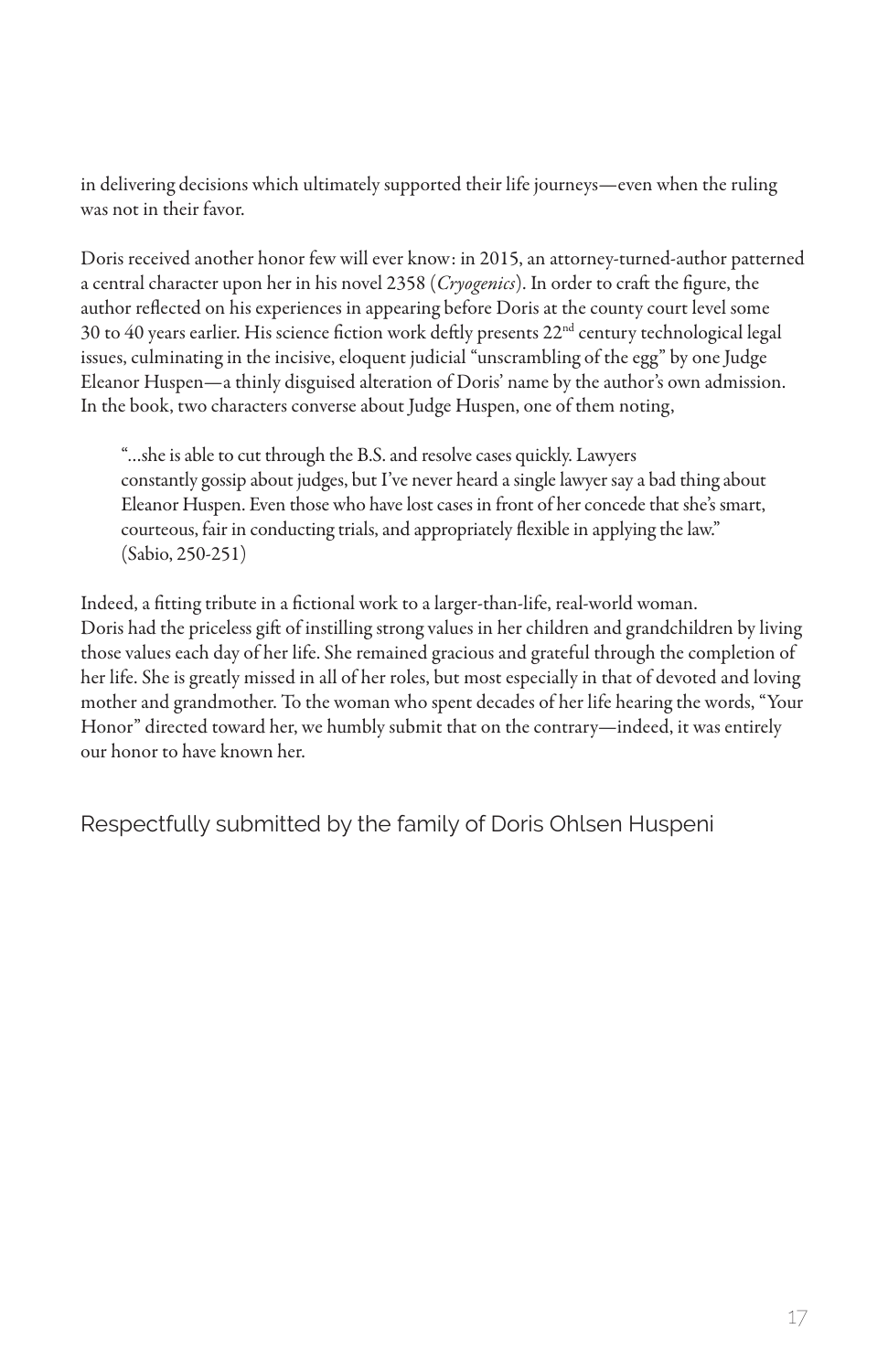in delivering decisions which ultimately supported their life journeys—even when the ruling was not in their favor.

Doris received another honor few will ever know: in 2015, an attorney-turned-author patterned a central character upon her in his novel 2358 (*Cryogenics*). In order to craft the figure, the author reflected on his experiences in appearing before Doris at the county court level some 30 to 40 years earlier. His science fiction work deftly presents 22nd century technological legal issues, culminating in the incisive, eloquent judicial "unscrambling of the egg" by one Judge Eleanor Huspen—a thinly disguised alteration of Doris' name by the author's own admission. In the book, two characters converse about Judge Huspen, one of them noting,

"…she is able to cut through the B.S. and resolve cases quickly. Lawyers constantly gossip about judges, but I've never heard a single lawyer say a bad thing about Eleanor Huspen. Even those who have lost cases in front of her concede that she's smart, courteous, fair in conducting trials, and appropriately flexible in applying the law." (Sabio, 250-251)

Indeed, a fitting tribute in a fictional work to a larger-than-life, real-world woman. Doris had the priceless gift of instilling strong values in her children and grandchildren by living those values each day of her life. She remained gracious and grateful through the completion of her life. She is greatly missed in all of her roles, but most especially in that of devoted and loving mother and grandmother. To the woman who spent decades of her life hearing the words, "Your Honor" directed toward her, we humbly submit that on the contrary—indeed, it was entirely our honor to have known her.

Respectfully submitted by the family of Doris Ohlsen Huspeni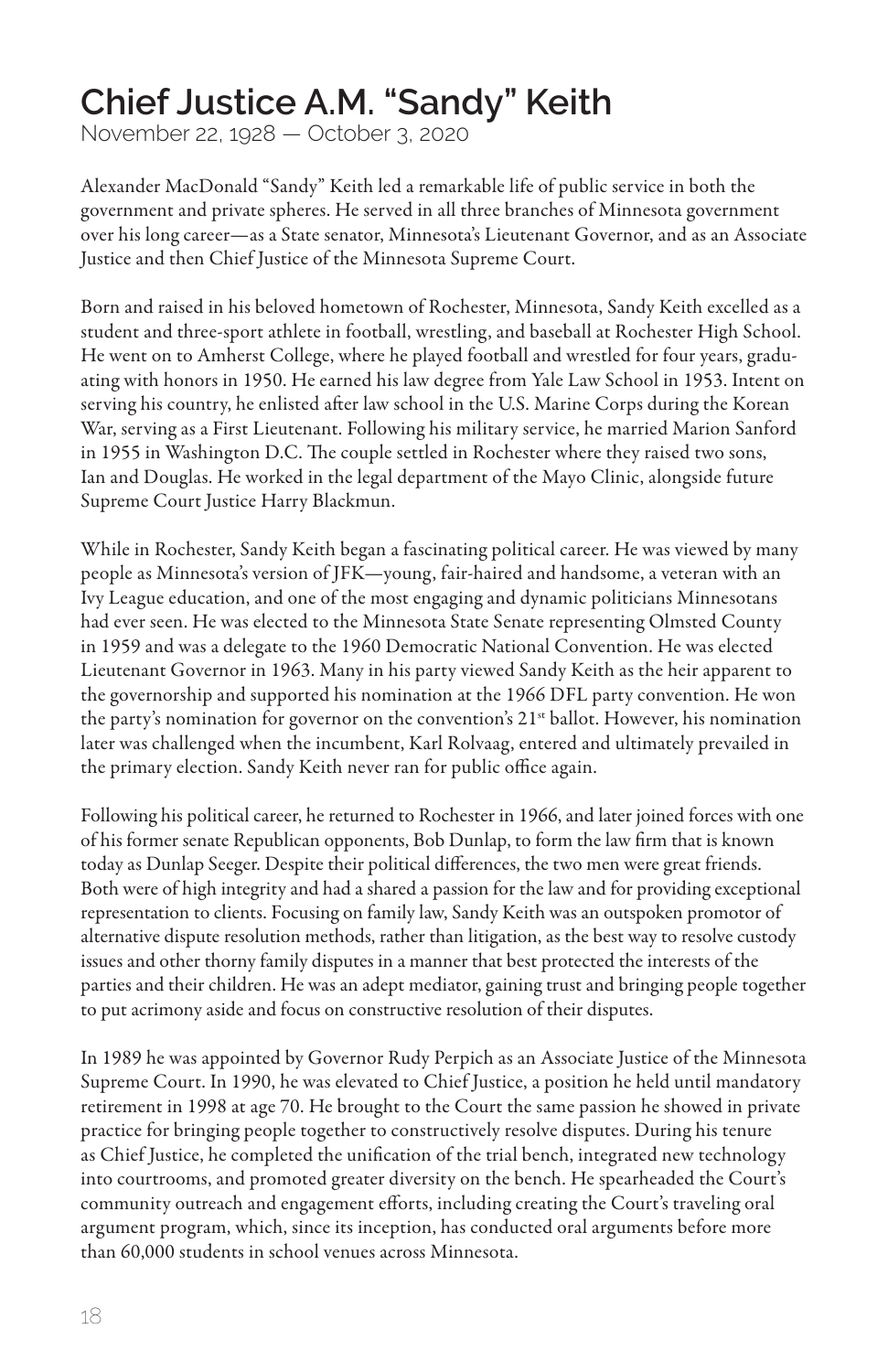#### **Chief Justice A.M. "Sandy" Keith**

November 22, 1928 — October 3, 2020

Alexander MacDonald "Sandy" Keith led a remarkable life of public service in both the government and private spheres. He served in all three branches of Minnesota government over his long career—as a State senator, Minnesota's Lieutenant Governor, and as an Associate Justice and then Chief Justice of the Minnesota Supreme Court.

Born and raised in his beloved hometown of Rochester, Minnesota, Sandy Keith excelled as a student and three-sport athlete in football, wrestling, and baseball at Rochester High School. He went on to Amherst College, where he played football and wrestled for four years, graduating with honors in 1950. He earned his law degree from Yale Law School in 1953. Intent on serving his country, he enlisted after law school in the U.S. Marine Corps during the Korean War, serving as a First Lieutenant. Following his military service, he married Marion Sanford in 1955 in Washington D.C. The couple settled in Rochester where they raised two sons, Ian and Douglas. He worked in the legal department of the Mayo Clinic, alongside future Supreme Court Justice Harry Blackmun.

While in Rochester, Sandy Keith began a fascinating political career. He was viewed by many people as Minnesota's version of JFK—young, fair-haired and handsome, a veteran with an Ivy League education, and one of the most engaging and dynamic politicians Minnesotans had ever seen. He was elected to the Minnesota State Senate representing Olmsted County in 1959 and was a delegate to the 1960 Democratic National Convention. He was elected Lieutenant Governor in 1963. Many in his party viewed Sandy Keith as the heir apparent to the governorship and supported his nomination at the 1966 DFL party convention. He won the party's nomination for governor on the convention's  $21<sup>st</sup>$  ballot. However, his nomination later was challenged when the incumbent, Karl Rolvaag, entered and ultimately prevailed in the primary election. Sandy Keith never ran for public office again.

Following his political career, he returned to Rochester in 1966, and later joined forces with one of his former senate Republican opponents, Bob Dunlap, to form the law firm that is known today as Dunlap Seeger. Despite their political differences, the two men were great friends. Both were of high integrity and had a shared a passion for the law and for providing exceptional representation to clients. Focusing on family law, Sandy Keith was an outspoken promotor of alternative dispute resolution methods, rather than litigation, as the best way to resolve custody issues and other thorny family disputes in a manner that best protected the interests of the parties and their children. He was an adept mediator, gaining trust and bringing people together to put acrimony aside and focus on constructive resolution of their disputes.

In 1989 he was appointed by Governor Rudy Perpich as an Associate Justice of the Minnesota Supreme Court. In 1990, he was elevated to Chief Justice, a position he held until mandatory retirement in 1998 at age 70. He brought to the Court the same passion he showed in private practice for bringing people together to constructively resolve disputes. During his tenure as Chief Justice, he completed the unification of the trial bench, integrated new technology into courtrooms, and promoted greater diversity on the bench. He spearheaded the Court's community outreach and engagement efforts, including creating the Court's traveling oral argument program, which, since its inception, has conducted oral arguments before more than 60,000 students in school venues across Minnesota.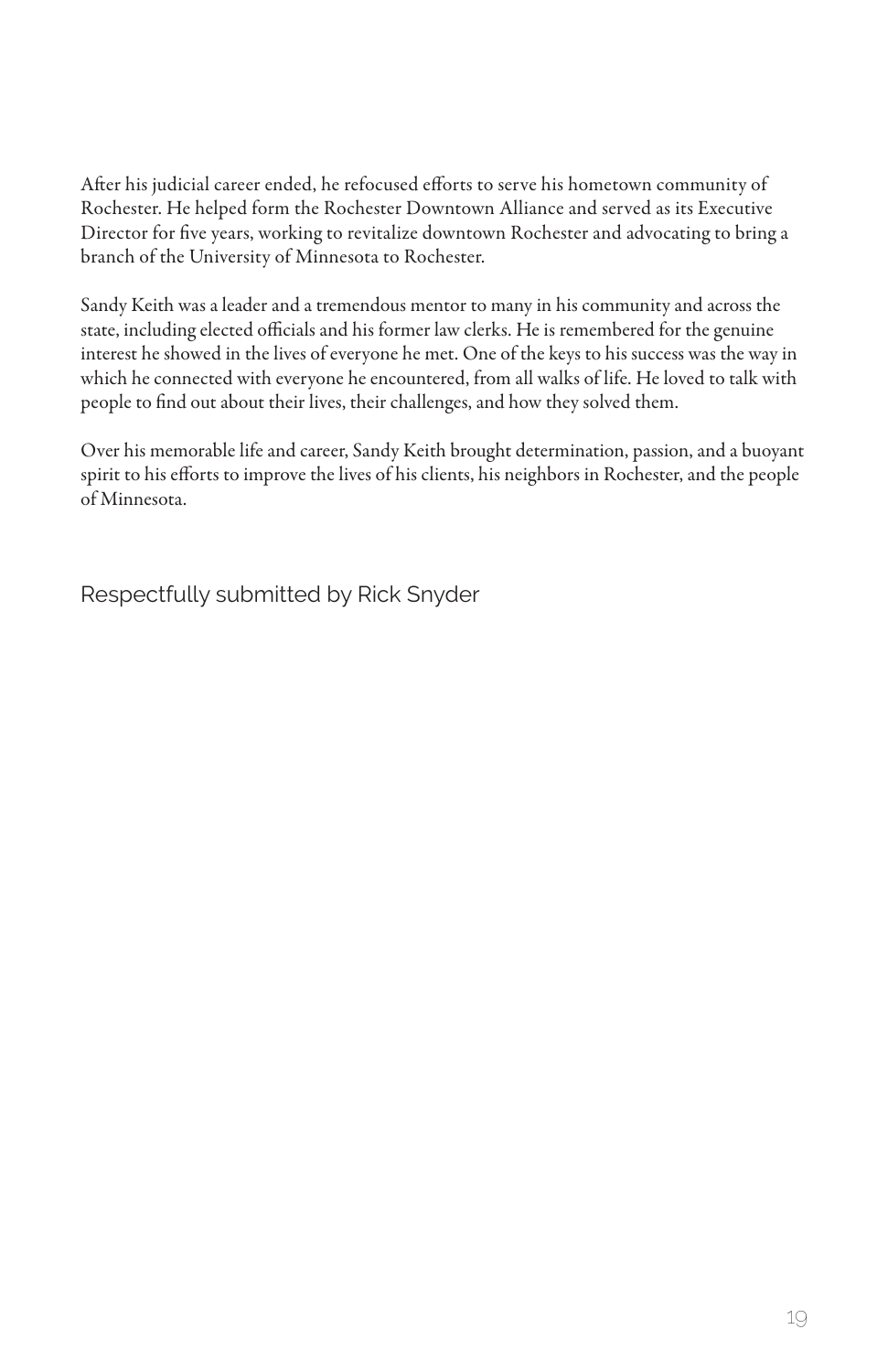After his judicial career ended, he refocused efforts to serve his hometown community of Rochester. He helped form the Rochester Downtown Alliance and served as its Executive Director for five years, working to revitalize downtown Rochester and advocating to bring a branch of the University of Minnesota to Rochester.

Sandy Keith was a leader and a tremendous mentor to many in his community and across the state, including elected officials and his former law clerks. He is remembered for the genuine interest he showed in the lives of everyone he met. One of the keys to his success was the way in which he connected with everyone he encountered, from all walks of life. He loved to talk with people to find out about their lives, their challenges, and how they solved them.

Over his memorable life and career, Sandy Keith brought determination, passion, and a buoyant spirit to his efforts to improve the lives of his clients, his neighbors in Rochester, and the people of Minnesota.

Respectfully submitted by Rick Snyder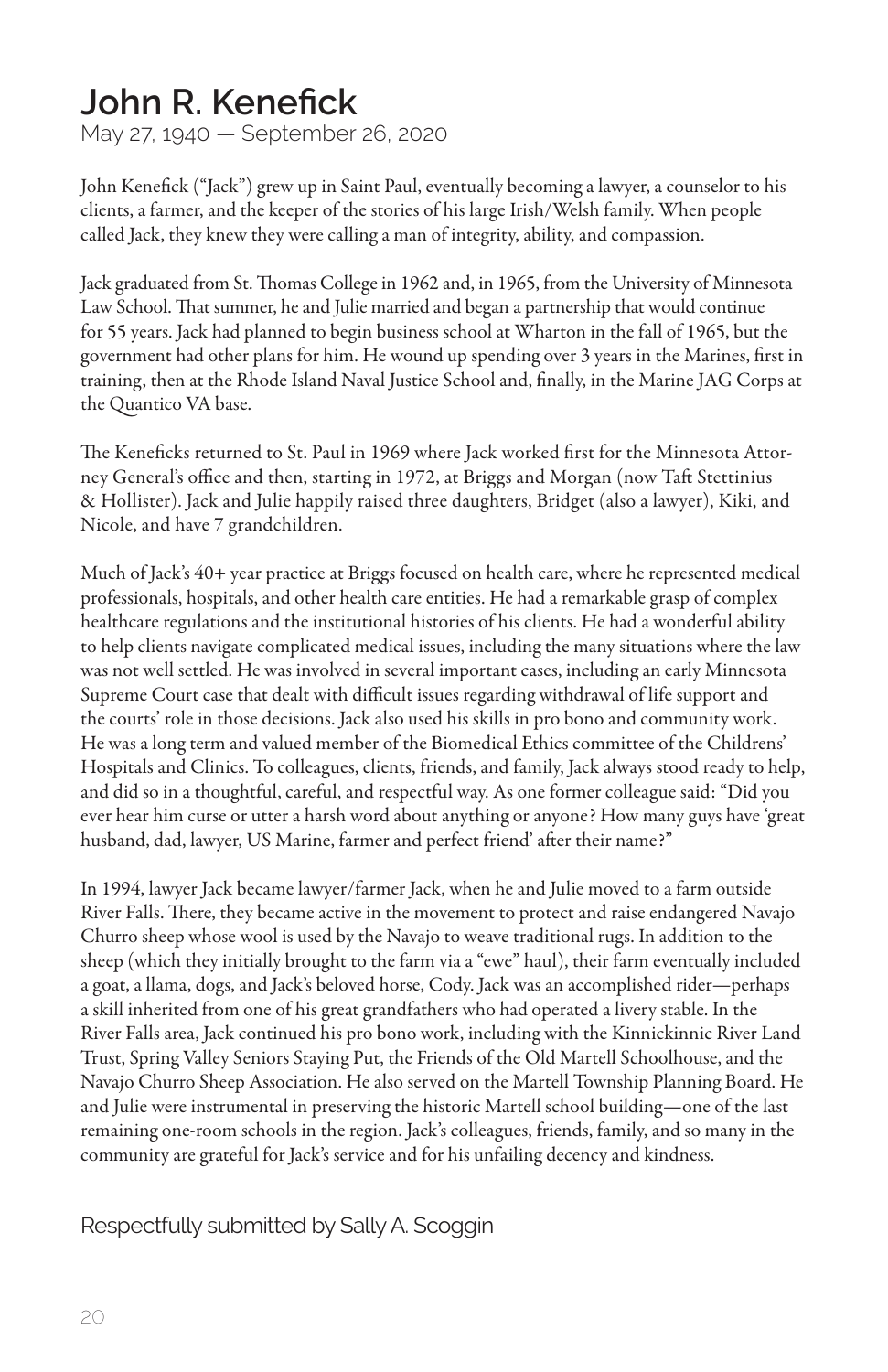#### **John R. Kenefick**

May 27, 1940 — September 26, 2020

John Kenefick ("Jack") grew up in Saint Paul, eventually becoming a lawyer, a counselor to his clients, a farmer, and the keeper of the stories of his large Irish/Welsh family. When people called Jack, they knew they were calling a man of integrity, ability, and compassion.

Jack graduated from St. Thomas College in 1962 and, in 1965, from the University of Minnesota Law School. That summer, he and Julie married and began a partnership that would continue for 55 years. Jack had planned to begin business school at Wharton in the fall of 1965, but the government had other plans for him. He wound up spending over 3 years in the Marines, first in training, then at the Rhode Island Naval Justice School and, finally, in the Marine JAG Corps at the Quantico VA base.

The Keneficks returned to St. Paul in 1969 where Jack worked first for the Minnesota Attorney General's office and then, starting in 1972, at Briggs and Morgan (now Taft Stettinius & Hollister). Jack and Julie happily raised three daughters, Bridget (also a lawyer), Kiki, and Nicole, and have 7 grandchildren.

Much of Jack's 40+ year practice at Briggs focused on health care, where he represented medical professionals, hospitals, and other health care entities. He had a remarkable grasp of complex healthcare regulations and the institutional histories of his clients. He had a wonderful ability to help clients navigate complicated medical issues, including the many situations where the law was not well settled. He was involved in several important cases, including an early Minnesota Supreme Court case that dealt with difficult issues regarding withdrawal of life support and the courts' role in those decisions. Jack also used his skills in pro bono and community work. He was a long term and valued member of the Biomedical Ethics committee of the Childrens' Hospitals and Clinics. To colleagues, clients, friends, and family, Jack always stood ready to help, and did so in a thoughtful, careful, and respectful way. As one former colleague said: "Did you ever hear him curse or utter a harsh word about anything or anyone? How many guys have 'great husband, dad, lawyer, US Marine, farmer and perfect friend' after their name?"

In 1994, lawyer Jack became lawyer/farmer Jack, when he and Julie moved to a farm outside River Falls. There, they became active in the movement to protect and raise endangered Navajo Churro sheep whose wool is used by the Navajo to weave traditional rugs. In addition to the sheep (which they initially brought to the farm via a "ewe" haul), their farm eventually included a goat, a llama, dogs, and Jack's beloved horse, Cody. Jack was an accomplished rider—perhaps a skill inherited from one of his great grandfathers who had operated a livery stable. In the River Falls area, Jack continued his pro bono work, including with the Kinnickinnic River Land Trust, Spring Valley Seniors Staying Put, the Friends of the Old Martell Schoolhouse, and the Navajo Churro Sheep Association. He also served on the Martell Township Planning Board. He and Julie were instrumental in preserving the historic Martell school building—one of the last remaining one-room schools in the region. Jack's colleagues, friends, family, and so many in the community are grateful for Jack's service and for his unfailing decency and kindness.

Respectfully submitted by Sally A. Scoggin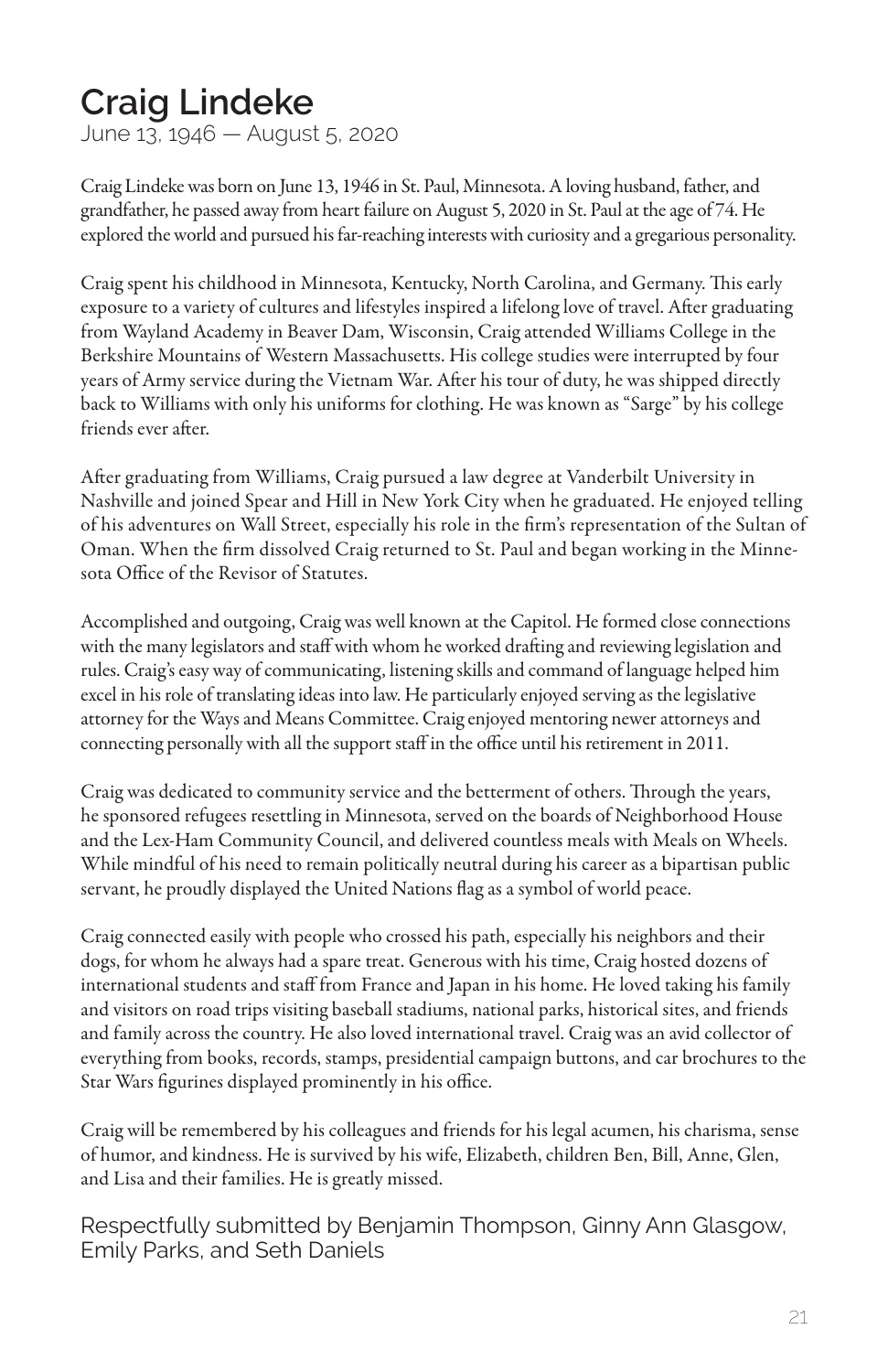#### **Craig Lindeke**

June 13, 1946 — August 5, 2020

Craig Lindeke was born on June 13, 1946 in St. Paul, Minnesota. A loving husband, father, and grandfather, he passed away from heart failure on August 5, 2020 in St. Paul at the age of 74. He explored the world and pursued his far-reaching interests with curiosity and a gregarious personality.

Craig spent his childhood in Minnesota, Kentucky, North Carolina, and Germany. This early exposure to a variety of cultures and lifestyles inspired a lifelong love of travel. After graduating from Wayland Academy in Beaver Dam, Wisconsin, Craig attended Williams College in the Berkshire Mountains of Western Massachusetts. His college studies were interrupted by four years of Army service during the Vietnam War. After his tour of duty, he was shipped directly back to Williams with only his uniforms for clothing. He was known as "Sarge" by his college friends ever after.

After graduating from Williams, Craig pursued a law degree at Vanderbilt University in Nashville and joined Spear and Hill in New York City when he graduated. He enjoyed telling of his adventures on Wall Street, especially his role in the firm's representation of the Sultan of Oman. When the firm dissolved Craig returned to St. Paul and began working in the Minnesota Office of the Revisor of Statutes.

Accomplished and outgoing, Craig was well known at the Capitol. He formed close connections with the many legislators and staff with whom he worked drafting and reviewing legislation and rules. Craig's easy way of communicating, listening skills and command of language helped him excel in his role of translating ideas into law. He particularly enjoyed serving as the legislative attorney for the Ways and Means Committee. Craig enjoyed mentoring newer attorneys and connecting personally with all the support staff in the office until his retirement in 2011.

Craig was dedicated to community service and the betterment of others. Through the years, he sponsored refugees resettling in Minnesota, served on the boards of Neighborhood House and the Lex-Ham Community Council, and delivered countless meals with Meals on Wheels. While mindful of his need to remain politically neutral during his career as a bipartisan public servant, he proudly displayed the United Nations flag as a symbol of world peace.

Craig connected easily with people who crossed his path, especially his neighbors and their dogs, for whom he always had a spare treat. Generous with his time, Craig hosted dozens of international students and staff from France and Japan in his home. He loved taking his family and visitors on road trips visiting baseball stadiums, national parks, historical sites, and friends and family across the country. He also loved international travel. Craig was an avid collector of everything from books, records, stamps, presidential campaign buttons, and car brochures to the Star Wars figurines displayed prominently in his office.

Craig will be remembered by his colleagues and friends for his legal acumen, his charisma, sense of humor, and kindness. He is survived by his wife, Elizabeth, children Ben, Bill, Anne, Glen, and Lisa and their families. He is greatly missed.

Respectfully submitted by Benjamin Thompson, Ginny Ann Glasgow, Emily Parks, and Seth Daniels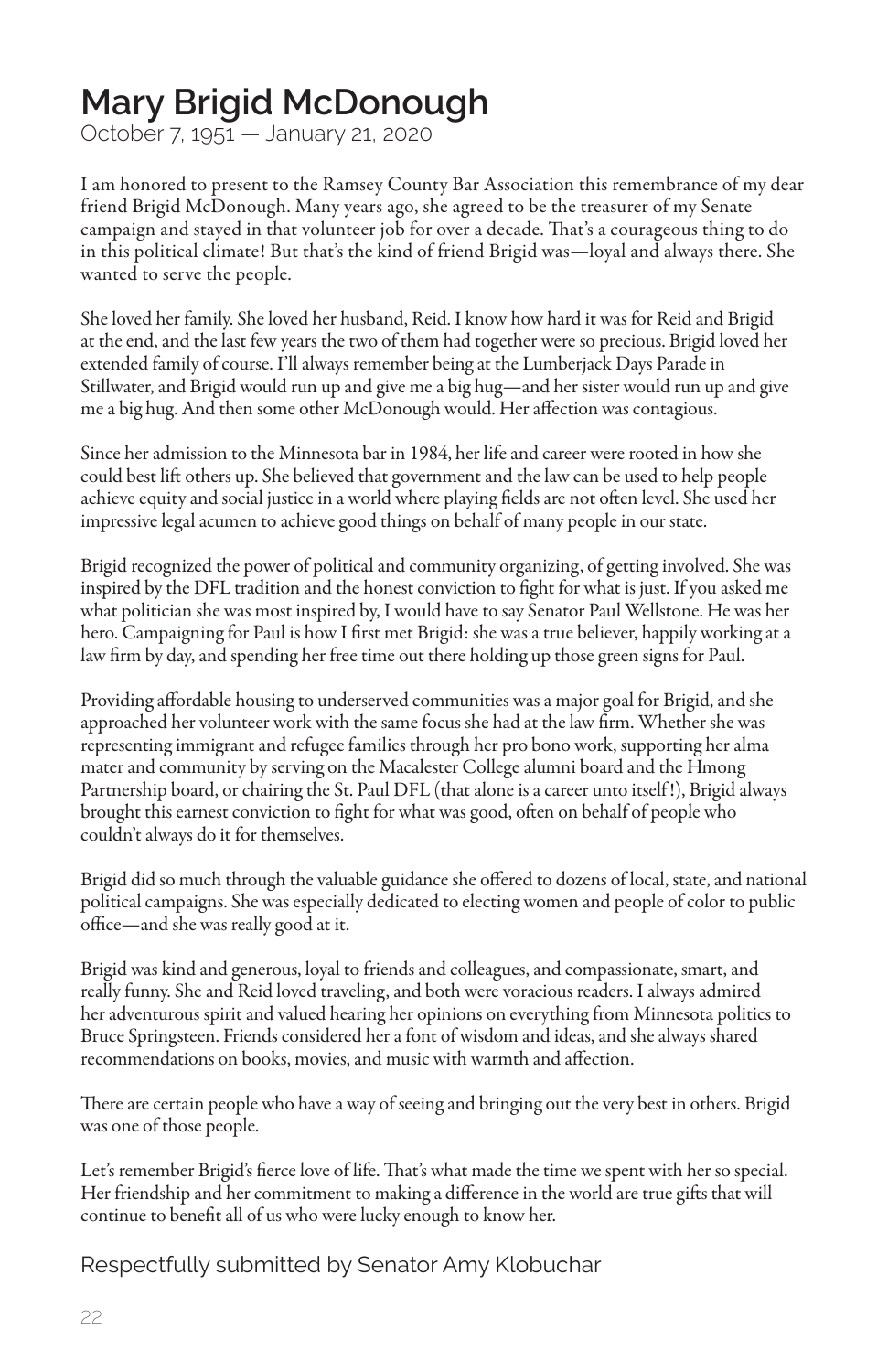#### **Mary Brigid McDonough**

October 7, 1951 — January 21, 2020

I am honored to present to the Ramsey County Bar Association this remembrance of my dear friend Brigid McDonough. Many years ago, she agreed to be the treasurer of my Senate campaign and stayed in that volunteer job for over a decade. That's a courageous thing to do in this political climate! But that's the kind of friend Brigid was—loyal and always there. She wanted to serve the people.

She loved her family. She loved her husband, Reid. I know how hard it was for Reid and Brigid at the end, and the last few years the two of them had together were so precious. Brigid loved her extended family of course. I'll always remember being at the Lumberjack Days Parade in Stillwater, and Brigid would run up and give me a big hug—and her sister would run up and give me a big hug. And then some other McDonough would. Her affection was contagious.

Since her admission to the Minnesota bar in 1984, her life and career were rooted in how she could best lift others up. She believed that government and the law can be used to help people achieve equity and social justice in a world where playing fields are not often level. She used her impressive legal acumen to achieve good things on behalf of many people in our state.

Brigid recognized the power of political and community organizing, of getting involved. She was inspired by the DFL tradition and the honest conviction to fight for what is just. If you asked me what politician she was most inspired by, I would have to say Senator Paul Wellstone. He was her hero. Campaigning for Paul is how I first met Brigid: she was a true believer, happily working at a law firm by day, and spending her free time out there holding up those green signs for Paul.

Providing affordable housing to underserved communities was a major goal for Brigid, and she approached her volunteer work with the same focus she had at the law firm. Whether she was representing immigrant and refugee families through her pro bono work, supporting her alma mater and community by serving on the Macalester College alumni board and the Hmong Partnership board, or chairing the St. Paul DFL (that alone is a career unto itself !), Brigid always brought this earnest conviction to fight for what was good, often on behalf of people who couldn't always do it for themselves.

Brigid did so much through the valuable guidance she offered to dozens of local, state, and national political campaigns. She was especially dedicated to electing women and people of color to public office—and she was really good at it.

Brigid was kind and generous, loyal to friends and colleagues, and compassionate, smart, and really funny. She and Reid loved traveling, and both were voracious readers. I always admired her adventurous spirit and valued hearing her opinions on everything from Minnesota politics to Bruce Springsteen. Friends considered her a font of wisdom and ideas, and she always shared recommendations on books, movies, and music with warmth and affection.

There are certain people who have a way of seeing and bringing out the very best in others. Brigid was one of those people.

Let's remember Brigid's fierce love of life. That's what made the time we spent with her so special. Her friendship and her commitment to making a difference in the world are true gifts that will continue to benefit all of us who were lucky enough to know her.

Respectfully submitted by Senator Amy Klobuchar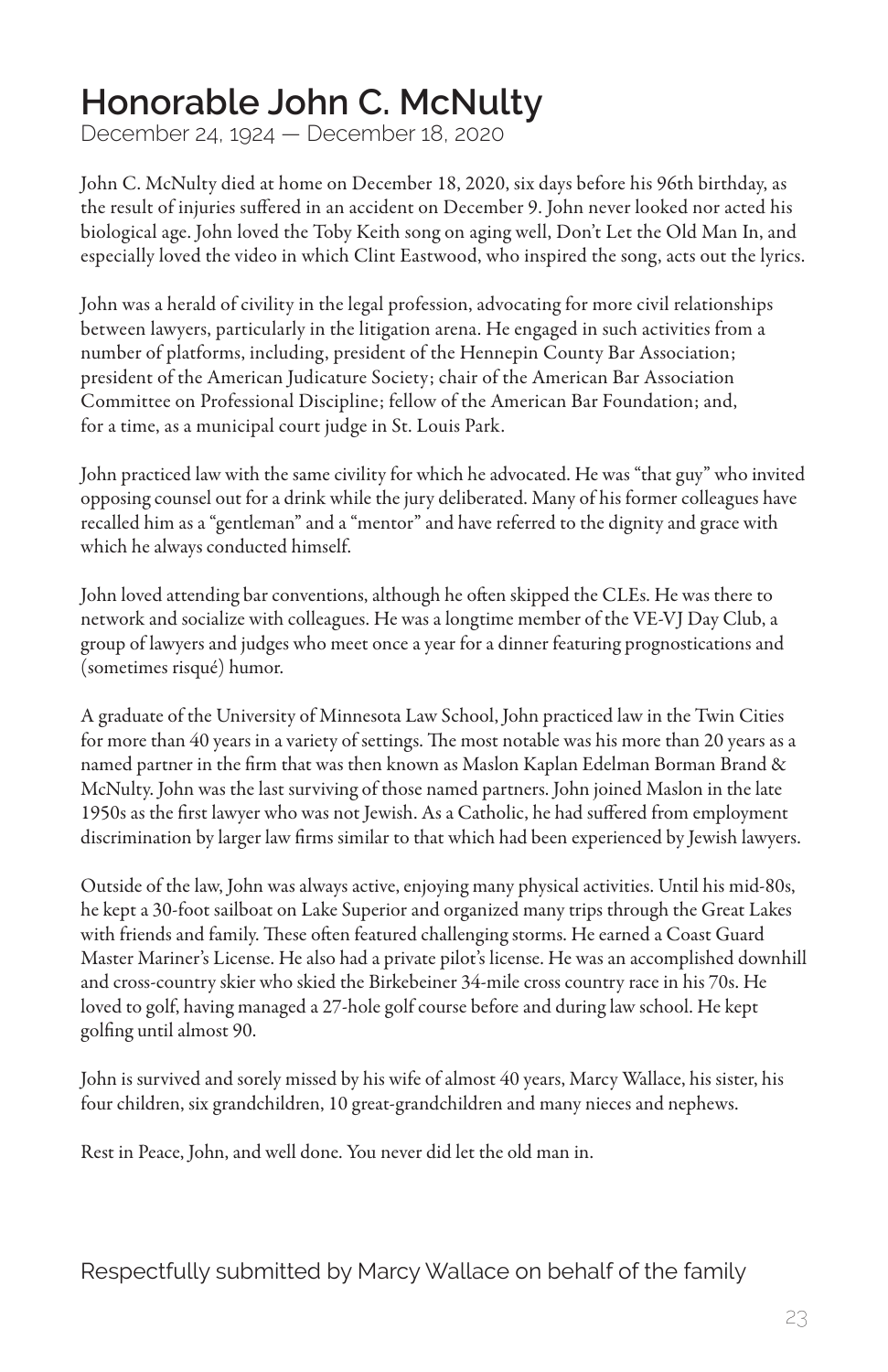#### **Honorable John C. McNulty**

December 24, 1924 — December 18, 2020

John C. McNulty died at home on December 18, 2020, six days before his 96th birthday, as the result of injuries suffered in an accident on December 9. John never looked nor acted his biological age. John loved the Toby Keith song on aging well, Don't Let the Old Man In, and especially loved the video in which Clint Eastwood, who inspired the song, acts out the lyrics.

John was a herald of civility in the legal profession, advocating for more civil relationships between lawyers, particularly in the litigation arena. He engaged in such activities from a number of platforms, including, president of the Hennepin County Bar Association; president of the American Judicature Society; chair of the American Bar Association Committee on Professional Discipline; fellow of the American Bar Foundation; and, for a time, as a municipal court judge in St. Louis Park.

John practiced law with the same civility for which he advocated. He was "that guy" who invited opposing counsel out for a drink while the jury deliberated. Many of his former colleagues have recalled him as a "gentleman" and a "mentor" and have referred to the dignity and grace with which he always conducted himself.

John loved attending bar conventions, although he often skipped the CLEs. He was there to network and socialize with colleagues. He was a longtime member of the VE-VJ Day Club, a group of lawyers and judges who meet once a year for a dinner featuring prognostications and (sometimes risqué) humor.

A graduate of the University of Minnesota Law School, John practiced law in the Twin Cities for more than 40 years in a variety of settings. The most notable was his more than 20 years as a named partner in the firm that was then known as Maslon Kaplan Edelman Borman Brand & McNulty. John was the last surviving of those named partners. John joined Maslon in the late 1950s as the first lawyer who was not Jewish. As a Catholic, he had suffered from employment discrimination by larger law firms similar to that which had been experienced by Jewish lawyers.

Outside of the law, John was always active, enjoying many physical activities. Until his mid-80s, he kept a 30-foot sailboat on Lake Superior and organized many trips through the Great Lakes with friends and family. These often featured challenging storms. He earned a Coast Guard Master Mariner's License. He also had a private pilot's license. He was an accomplished downhill and cross-country skier who skied the Birkebeiner 34-mile cross country race in his 70s. He loved to golf, having managed a 27-hole golf course before and during law school. He kept golfing until almost 90.

John is survived and sorely missed by his wife of almost 40 years, Marcy Wallace, his sister, his four children, six grandchildren, 10 great-grandchildren and many nieces and nephews.

Rest in Peace, John, and well done. You never did let the old man in.

Respectfully submitted by Marcy Wallace on behalf of the family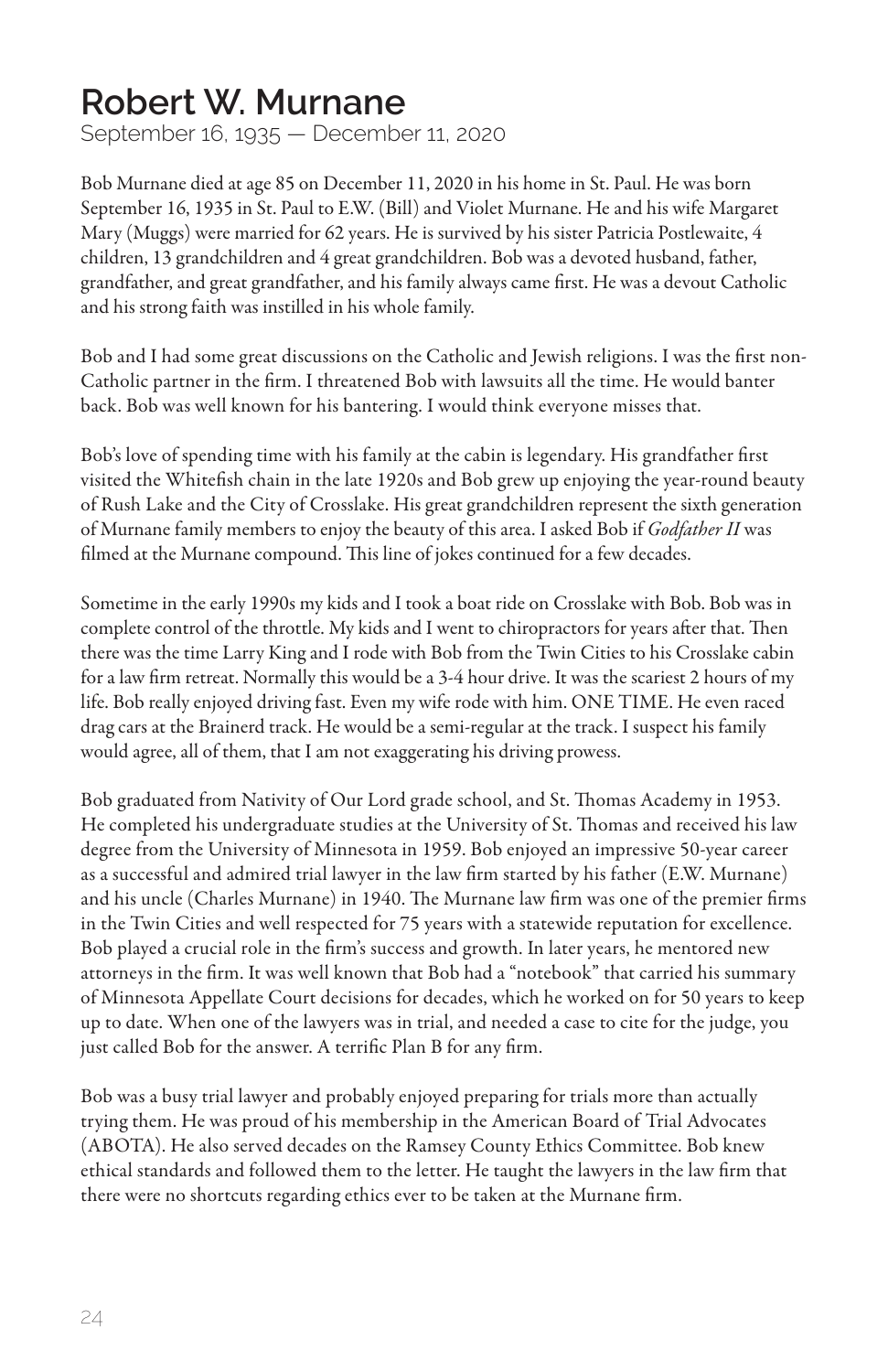#### **Robert W. Murnane**

September 16, 1935 — December 11, 2020

Bob Murnane died at age 85 on December 11, 2020 in his home in St. Paul. He was born September 16, 1935 in St. Paul to E.W. (Bill) and Violet Murnane. He and his wife Margaret Mary (Muggs) were married for 62 years. He is survived by his sister Patricia Postlewaite, 4 children, 13 grandchildren and 4 great grandchildren. Bob was a devoted husband, father, grandfather, and great grandfather, and his family always came first. He was a devout Catholic and his strong faith was instilled in his whole family.

Bob and I had some great discussions on the Catholic and Jewish religions. I was the first non-Catholic partner in the firm. I threatened Bob with lawsuits all the time. He would banter back. Bob was well known for his bantering. I would think everyone misses that.

Bob's love of spending time with his family at the cabin is legendary. His grandfather first visited the Whitefish chain in the late 1920s and Bob grew up enjoying the year-round beauty of Rush Lake and the City of Crosslake. His great grandchildren represent the sixth generation of Murnane family members to enjoy the beauty of this area. I asked Bob if *Godfather II* was filmed at the Murnane compound. This line of jokes continued for a few decades.

Sometime in the early 1990s my kids and I took a boat ride on Crosslake with Bob. Bob was in complete control of the throttle. My kids and I went to chiropractors for years after that. Then there was the time Larry King and I rode with Bob from the Twin Cities to his Crosslake cabin for a law firm retreat. Normally this would be a 3-4 hour drive. It was the scariest 2 hours of my life. Bob really enjoyed driving fast. Even my wife rode with him. ONE TIME. He even raced drag cars at the Brainerd track. He would be a semi-regular at the track. I suspect his family would agree, all of them, that I am not exaggerating his driving prowess.

Bob graduated from Nativity of Our Lord grade school, and St. Thomas Academy in 1953. He completed his undergraduate studies at the University of St. Thomas and received his law degree from the University of Minnesota in 1959. Bob enjoyed an impressive 50-year career as a successful and admired trial lawyer in the law firm started by his father (E.W. Murnane) and his uncle (Charles Murnane) in 1940. The Murnane law firm was one of the premier firms in the Twin Cities and well respected for 75 years with a statewide reputation for excellence. Bob played a crucial role in the firm's success and growth. In later years, he mentored new attorneys in the firm. It was well known that Bob had a "notebook" that carried his summary of Minnesota Appellate Court decisions for decades, which he worked on for 50 years to keep up to date. When one of the lawyers was in trial, and needed a case to cite for the judge, you just called Bob for the answer. A terrific Plan B for any firm.

Bob was a busy trial lawyer and probably enjoyed preparing for trials more than actually trying them. He was proud of his membership in the American Board of Trial Advocates (ABOTA). He also served decades on the Ramsey County Ethics Committee. Bob knew ethical standards and followed them to the letter. He taught the lawyers in the law firm that there were no shortcuts regarding ethics ever to be taken at the Murnane firm.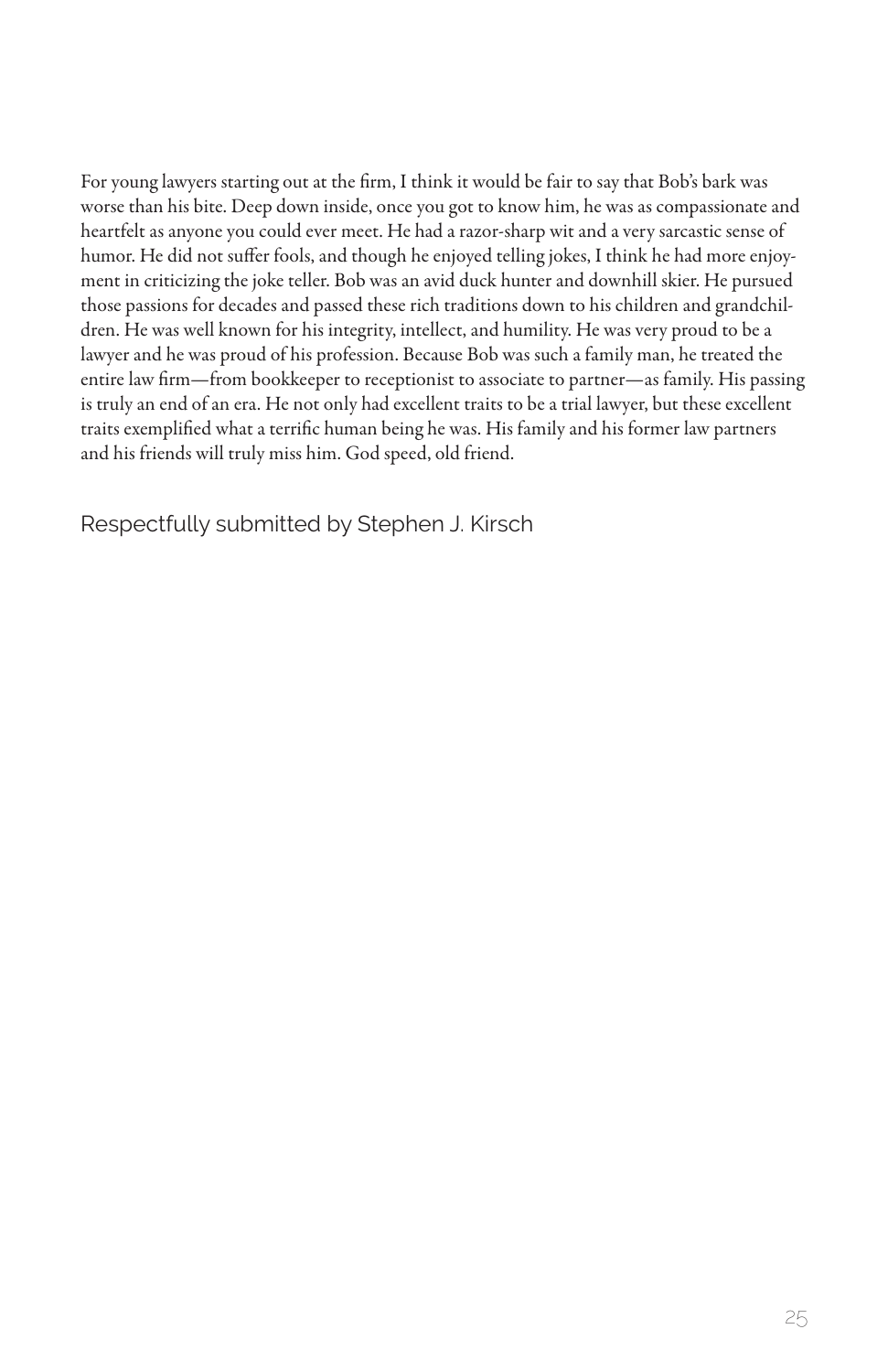For young lawyers starting out at the firm, I think it would be fair to say that Bob's bark was worse than his bite. Deep down inside, once you got to know him, he was as compassionate and heartfelt as anyone you could ever meet. He had a razor-sharp wit and a very sarcastic sense of humor. He did not suffer fools, and though he enjoyed telling jokes, I think he had more enjoyment in criticizing the joke teller. Bob was an avid duck hunter and downhill skier. He pursued those passions for decades and passed these rich traditions down to his children and grandchildren. He was well known for his integrity, intellect, and humility. He was very proud to be a lawyer and he was proud of his profession. Because Bob was such a family man, he treated the entire law firm—from bookkeeper to receptionist to associate to partner—as family. His passing is truly an end of an era. He not only had excellent traits to be a trial lawyer, but these excellent traits exemplified what a terrific human being he was. His family and his former law partners and his friends will truly miss him. God speed, old friend.

Respectfully submitted by Stephen J. Kirsch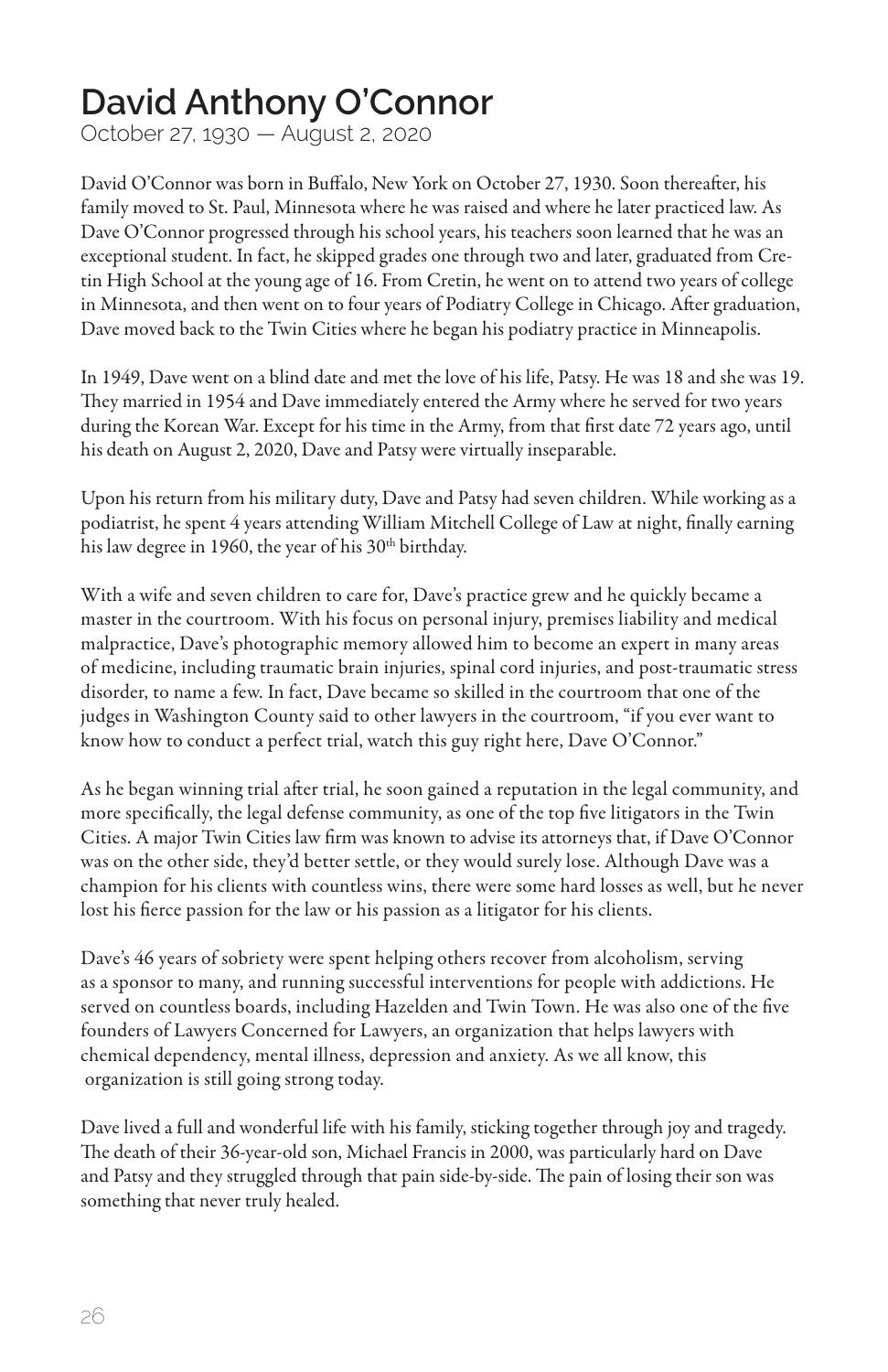#### **David Anthony O'Connor**

October 27, 1930 — August 2, 2020

David O'Connor was born in Buffalo, New York on October 27, 1930. Soon thereafter, his family moved to St. Paul, Minnesota where he was raised and where he later practiced law. As Dave O'Connor progressed through his school years, his teachers soon learned that he was an exceptional student. In fact, he skipped grades one through two and later, graduated from Cretin High School at the young age of 16. From Cretin, he went on to attend two years of college in Minnesota, and then went on to four years of Podiatry College in Chicago. After graduation, Dave moved back to the Twin Cities where he began his podiatry practice in Minneapolis.

In 1949, Dave went on a blind date and met the love of his life, Patsy. He was 18 and she was 19. They married in 1954 and Dave immediately entered the Army where he served for two years during the Korean War. Except for his time in the Army, from that first date 72 years ago, until his death on August 2, 2020, Dave and Patsy were virtually inseparable.

Upon his return from his military duty, Dave and Patsy had seven children. While working as a podiatrist, he spent 4 years attending William Mitchell College of Law at night, finally earning his law degree in 1960, the year of his 30<sup>th</sup> birthday.

With a wife and seven children to care for, Dave's practice grew and he quickly became a master in the courtroom. With his focus on personal injury, premises liability and medical malpractice, Dave's photographic memory allowed him to become an expert in many areas of medicine, including traumatic brain injuries, spinal cord injuries, and post-traumatic stress disorder, to name a few. In fact, Dave became so skilled in the courtroom that one of the judges in Washington County said to other lawyers in the courtroom, "if you ever want to know how to conduct a perfect trial, watch this guy right here, Dave O'Connor."

As he began winning trial after trial, he soon gained a reputation in the legal community, and more specifically, the legal defense community, as one of the top five litigators in the Twin Cities. A major Twin Cities law firm was known to advise its attorneys that, if Dave O'Connor was on the other side, they'd better settle, or they would surely lose. Although Dave was a champion for his clients with countless wins, there were some hard losses as well, but he never lost his fierce passion for the law or his passion as a litigator for his clients.

Dave's 46 years of sobriety were spent helping others recover from alcoholism, serving as a sponsor to many, and running successful interventions for people with addictions. He served on countless boards, including Hazelden and Twin Town. He was also one of the five founders of Lawyers Concerned for Lawyers, an organization that helps lawyers with chemical dependency, mental illness, depression and anxiety. As we all know, this organization is still going strong today.

Dave lived a full and wonderful life with his family, sticking together through joy and tragedy. The death of their 36-year-old son, Michael Francis in 2000, was particularly hard on Dave and Patsy and they struggled through that pain side-by-side. The pain of losing their son was something that never truly healed.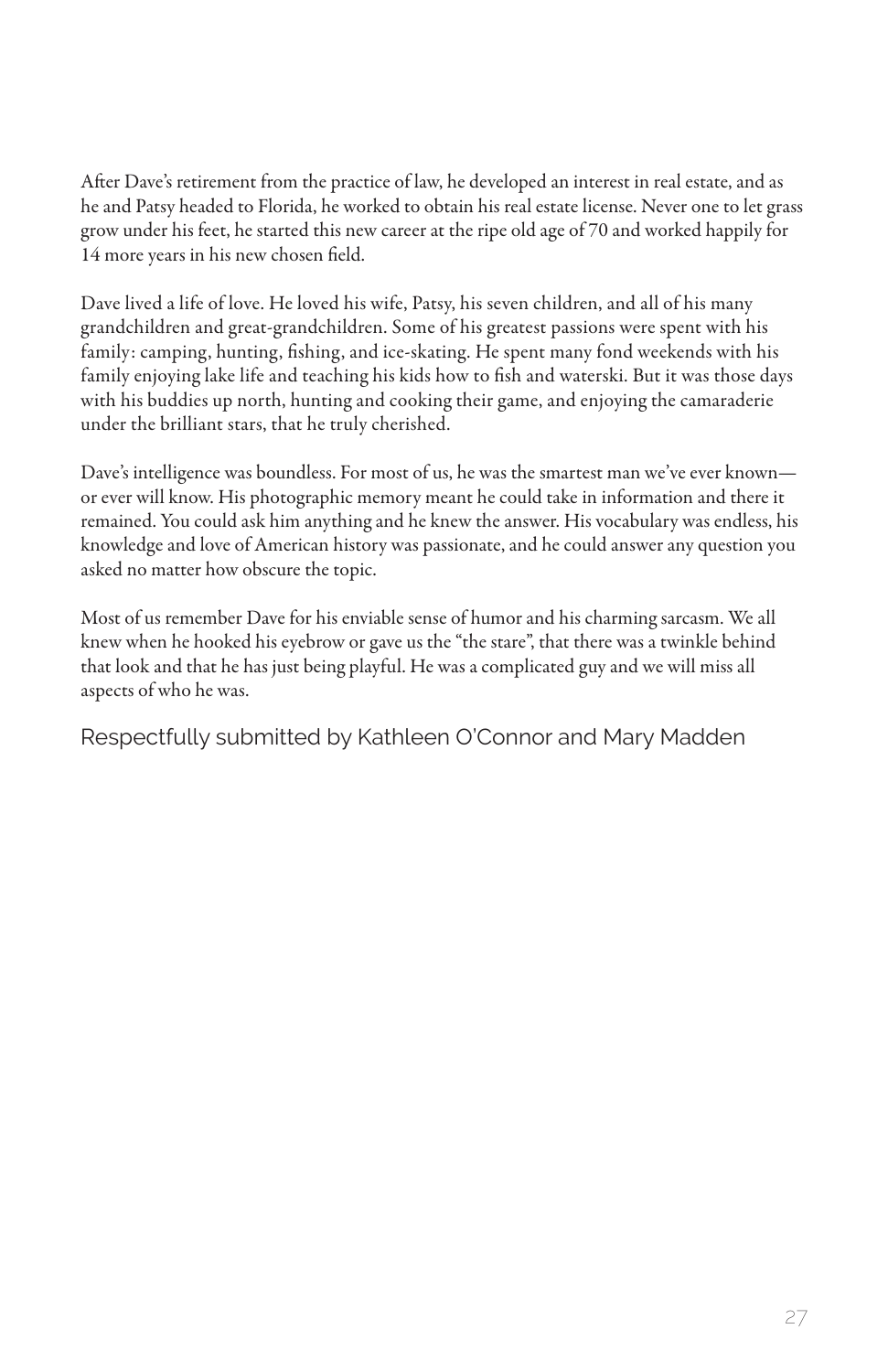After Dave's retirement from the practice of law, he developed an interest in real estate, and as he and Patsy headed to Florida, he worked to obtain his real estate license. Never one to let grass grow under his feet, he started this new career at the ripe old age of 70 and worked happily for 14 more years in his new chosen field.

Dave lived a life of love. He loved his wife, Patsy, his seven children, and all of his many grandchildren and great-grandchildren. Some of his greatest passions were spent with his family: camping, hunting, fishing, and ice-skating. He spent many fond weekends with his family enjoying lake life and teaching his kids how to fish and waterski. But it was those days with his buddies up north, hunting and cooking their game, and enjoying the camaraderie under the brilliant stars, that he truly cherished.

Dave's intelligence was boundless. For most of us, he was the smartest man we've ever known or ever will know. His photographic memory meant he could take in information and there it remained. You could ask him anything and he knew the answer. His vocabulary was endless, his knowledge and love of American history was passionate, and he could answer any question you asked no matter how obscure the topic.

Most of us remember Dave for his enviable sense of humor and his charming sarcasm. We all knew when he hooked his eyebrow or gave us the "the stare", that there was a twinkle behind that look and that he has just being playful. He was a complicated guy and we will miss all aspects of who he was.

Respectfully submitted by Kathleen O'Connor and Mary Madden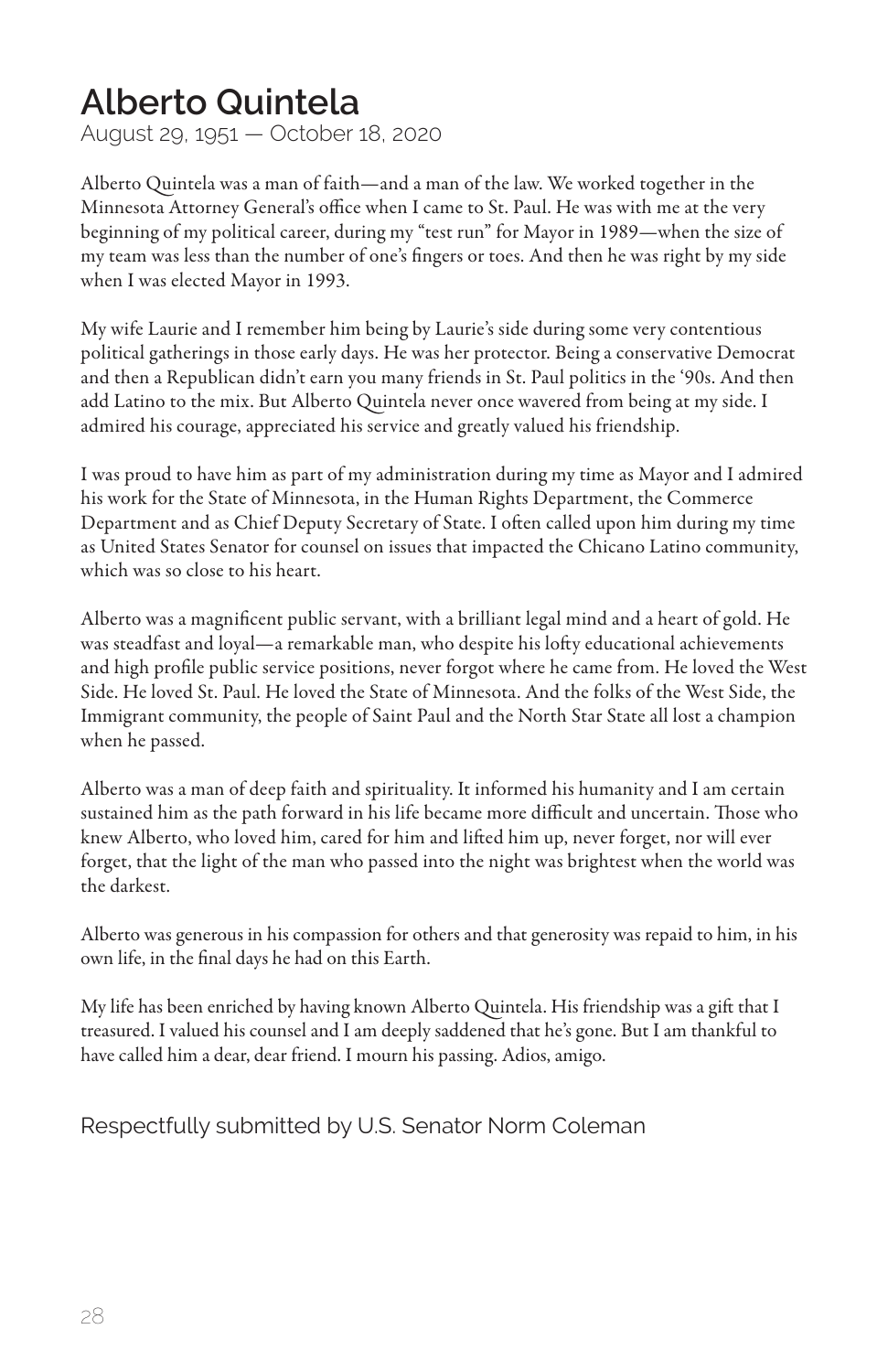#### **Alberto Quintela**

August 29, 1951 — October 18, 2020

Alberto Quintela was a man of faith—and a man of the law. We worked together in the Minnesota Attorney General's office when I came to St. Paul. He was with me at the very beginning of my political career, during my "test run" for Mayor in 1989—when the size of my team was less than the number of one's fingers or toes. And then he was right by my side when I was elected Mayor in 1993.

My wife Laurie and I remember him being by Laurie's side during some very contentious political gatherings in those early days. He was her protector. Being a conservative Democrat and then a Republican didn't earn you many friends in St. Paul politics in the '90s. And then add Latino to the mix. But Alberto Quintela never once wavered from being at my side. I admired his courage, appreciated his service and greatly valued his friendship.

I was proud to have him as part of my administration during my time as Mayor and I admired his work for the State of Minnesota, in the Human Rights Department, the Commerce Department and as Chief Deputy Secretary of State. I often called upon him during my time as United States Senator for counsel on issues that impacted the Chicano Latino community, which was so close to his heart.

Alberto was a magnificent public servant, with a brilliant legal mind and a heart of gold. He was steadfast and loyal—a remarkable man, who despite his lofty educational achievements and high profile public service positions, never forgot where he came from. He loved the West Side. He loved St. Paul. He loved the State of Minnesota. And the folks of the West Side, the Immigrant community, the people of Saint Paul and the North Star State all lost a champion when he passed.

Alberto was a man of deep faith and spirituality. It informed his humanity and I am certain sustained him as the path forward in his life became more difficult and uncertain. Those who knew Alberto, who loved him, cared for him and lifted him up, never forget, nor will ever forget, that the light of the man who passed into the night was brightest when the world was the darkest.

Alberto was generous in his compassion for others and that generosity was repaid to him, in his own life, in the final days he had on this Earth.

My life has been enriched by having known Alberto Quintela. His friendship was a gift that I treasured. I valued his counsel and I am deeply saddened that he's gone. But I am thankful to have called him a dear, dear friend. I mourn his passing. Adios, amigo.

Respectfully submitted by U.S. Senator Norm Coleman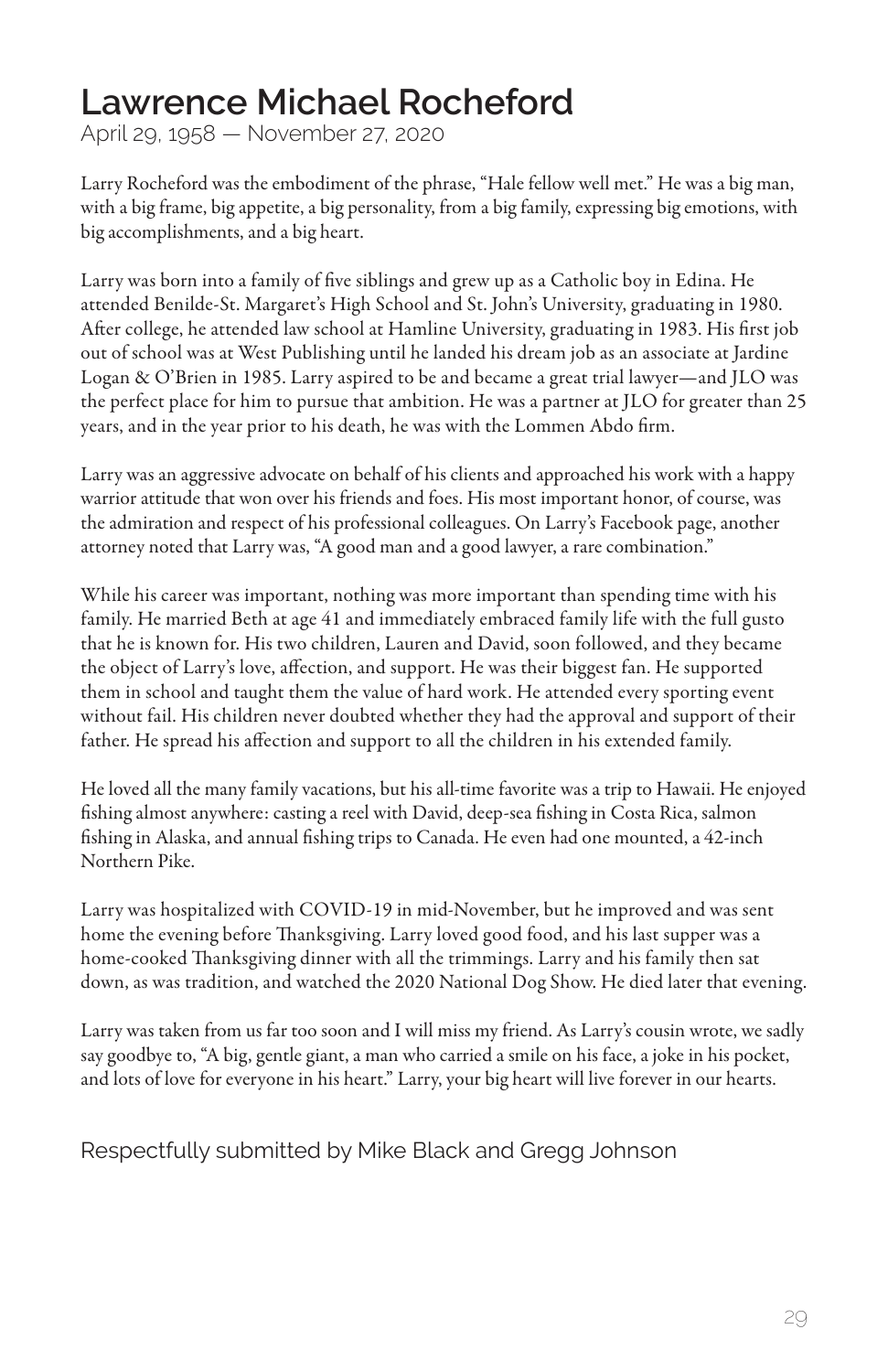#### **Lawrence Michael Rocheford**

April 29, 1958 — November 27, 2020

Larry Rocheford was the embodiment of the phrase, "Hale fellow well met." He was a big man, with a big frame, big appetite, a big personality, from a big family, expressing big emotions, with big accomplishments, and a big heart.

Larry was born into a family of five siblings and grew up as a Catholic boy in Edina. He attended Benilde-St. Margaret's High School and St. John's University, graduating in 1980. After college, he attended law school at Hamline University, graduating in 1983. His first job out of school was at West Publishing until he landed his dream job as an associate at Jardine Logan & O'Brien in 1985. Larry aspired to be and became a great trial lawyer—and JLO was the perfect place for him to pursue that ambition. He was a partner at JLO for greater than 25 years, and in the year prior to his death, he was with the Lommen Abdo firm.

Larry was an aggressive advocate on behalf of his clients and approached his work with a happy warrior attitude that won over his friends and foes. His most important honor, of course, was the admiration and respect of his professional colleagues. On Larry's Facebook page, another attorney noted that Larry was, "A good man and a good lawyer, a rare combination."

While his career was important, nothing was more important than spending time with his family. He married Beth at age 41 and immediately embraced family life with the full gusto that he is known for. His two children, Lauren and David, soon followed, and they became the object of Larry's love, affection, and support. He was their biggest fan. He supported them in school and taught them the value of hard work. He attended every sporting event without fail. His children never doubted whether they had the approval and support of their father. He spread his affection and support to all the children in his extended family.

He loved all the many family vacations, but his all-time favorite was a trip to Hawaii. He enjoyed fishing almost anywhere: casting a reel with David, deep-sea fishing in Costa Rica, salmon fishing in Alaska, and annual fishing trips to Canada. He even had one mounted, a 42-inch Northern Pike.

Larry was hospitalized with COVID-19 in mid-November, but he improved and was sent home the evening before Thanksgiving. Larry loved good food, and his last supper was a home-cooked Thanksgiving dinner with all the trimmings. Larry and his family then sat down, as was tradition, and watched the 2020 National Dog Show. He died later that evening.

Larry was taken from us far too soon and I will miss my friend. As Larry's cousin wrote, we sadly say goodbye to, "A big, gentle giant, a man who carried a smile on his face, a joke in his pocket, and lots of love for everyone in his heart." Larry, your big heart will live forever in our hearts.

Respectfully submitted by Mike Black and Gregg Johnson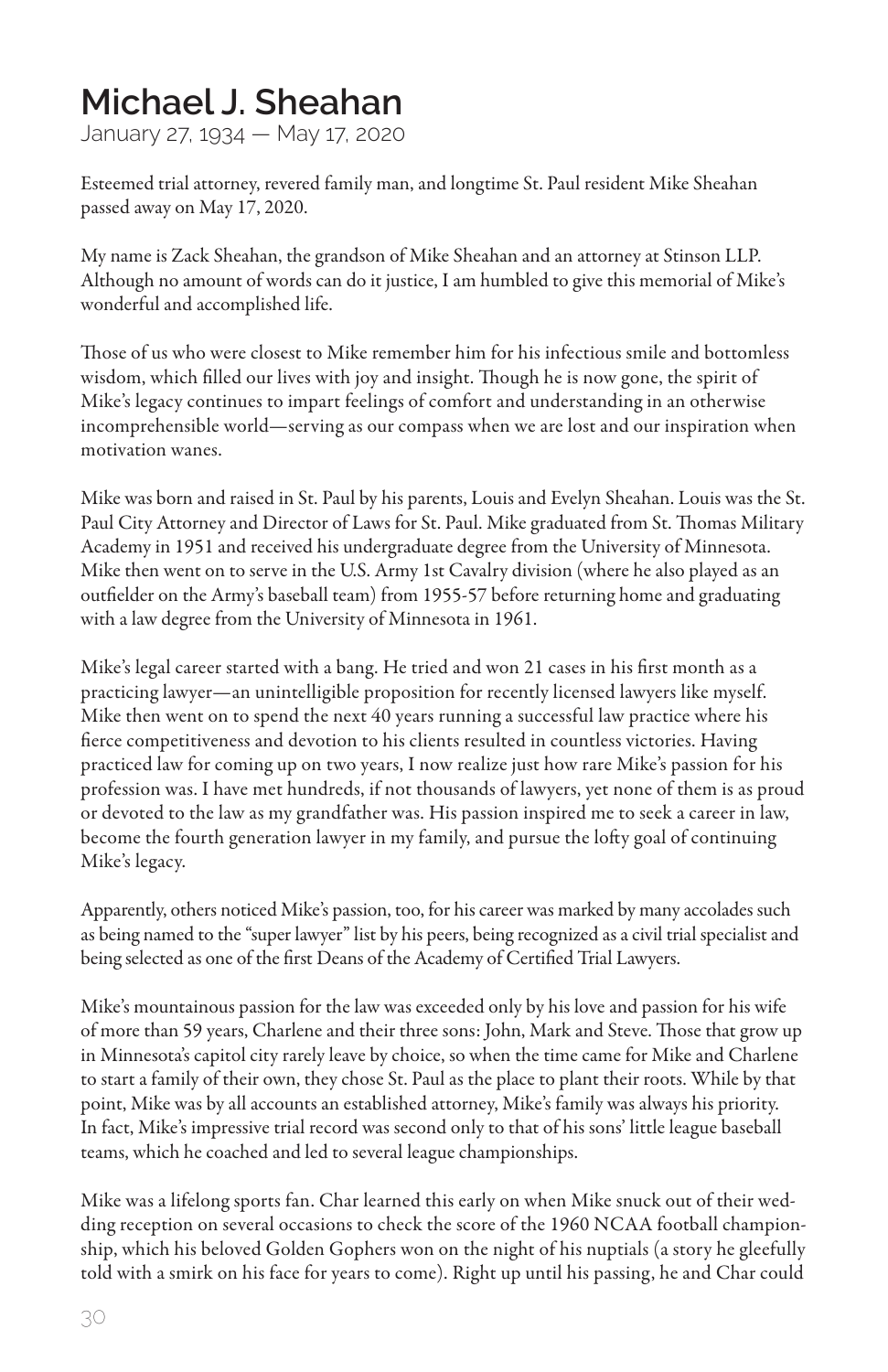#### **Michael J. Sheahan**

January 27, 1934 — May 17, 2020

Esteemed trial attorney, revered family man, and longtime St. Paul resident Mike Sheahan passed away on May 17, 2020.

My name is Zack Sheahan, the grandson of Mike Sheahan and an attorney at Stinson LLP. Although no amount of words can do it justice, I am humbled to give this memorial of Mike's wonderful and accomplished life.

Those of us who were closest to Mike remember him for his infectious smile and bottomless wisdom, which filled our lives with joy and insight. Though he is now gone, the spirit of Mike's legacy continues to impart feelings of comfort and understanding in an otherwise incomprehensible world—serving as our compass when we are lost and our inspiration when motivation wanes.

Mike was born and raised in St. Paul by his parents, Louis and Evelyn Sheahan. Louis was the St. Paul City Attorney and Director of Laws for St. Paul. Mike graduated from St. Thomas Military Academy in 1951 and received his undergraduate degree from the University of Minnesota. Mike then went on to serve in the U.S. Army 1st Cavalry division (where he also played as an outfielder on the Army's baseball team) from 1955-57 before returning home and graduating with a law degree from the University of Minnesota in 1961.

Mike's legal career started with a bang. He tried and won 21 cases in his first month as a practicing lawyer—an unintelligible proposition for recently licensed lawyers like myself. Mike then went on to spend the next 40 years running a successful law practice where his fierce competitiveness and devotion to his clients resulted in countless victories. Having practiced law for coming up on two years, I now realize just how rare Mike's passion for his profession was. I have met hundreds, if not thousands of lawyers, yet none of them is as proud or devoted to the law as my grandfather was. His passion inspired me to seek a career in law, become the fourth generation lawyer in my family, and pursue the lofty goal of continuing Mike's legacy.

Apparently, others noticed Mike's passion, too, for his career was marked by many accolades such as being named to the "super lawyer" list by his peers, being recognized as a civil trial specialist and being selected as one of the first Deans of the Academy of Certified Trial Lawyers.

Mike's mountainous passion for the law was exceeded only by his love and passion for his wife of more than 59 years, Charlene and their three sons: John, Mark and Steve. Those that grow up in Minnesota's capitol city rarely leave by choice, so when the time came for Mike and Charlene to start a family of their own, they chose St. Paul as the place to plant their roots. While by that point, Mike was by all accounts an established attorney, Mike's family was always his priority. In fact, Mike's impressive trial record was second only to that of his sons' little league baseball teams, which he coached and led to several league championships.

Mike was a lifelong sports fan. Char learned this early on when Mike snuck out of their wedding reception on several occasions to check the score of the 1960 NCAA football championship, which his beloved Golden Gophers won on the night of his nuptials (a story he gleefully told with a smirk on his face for years to come). Right up until his passing, he and Char could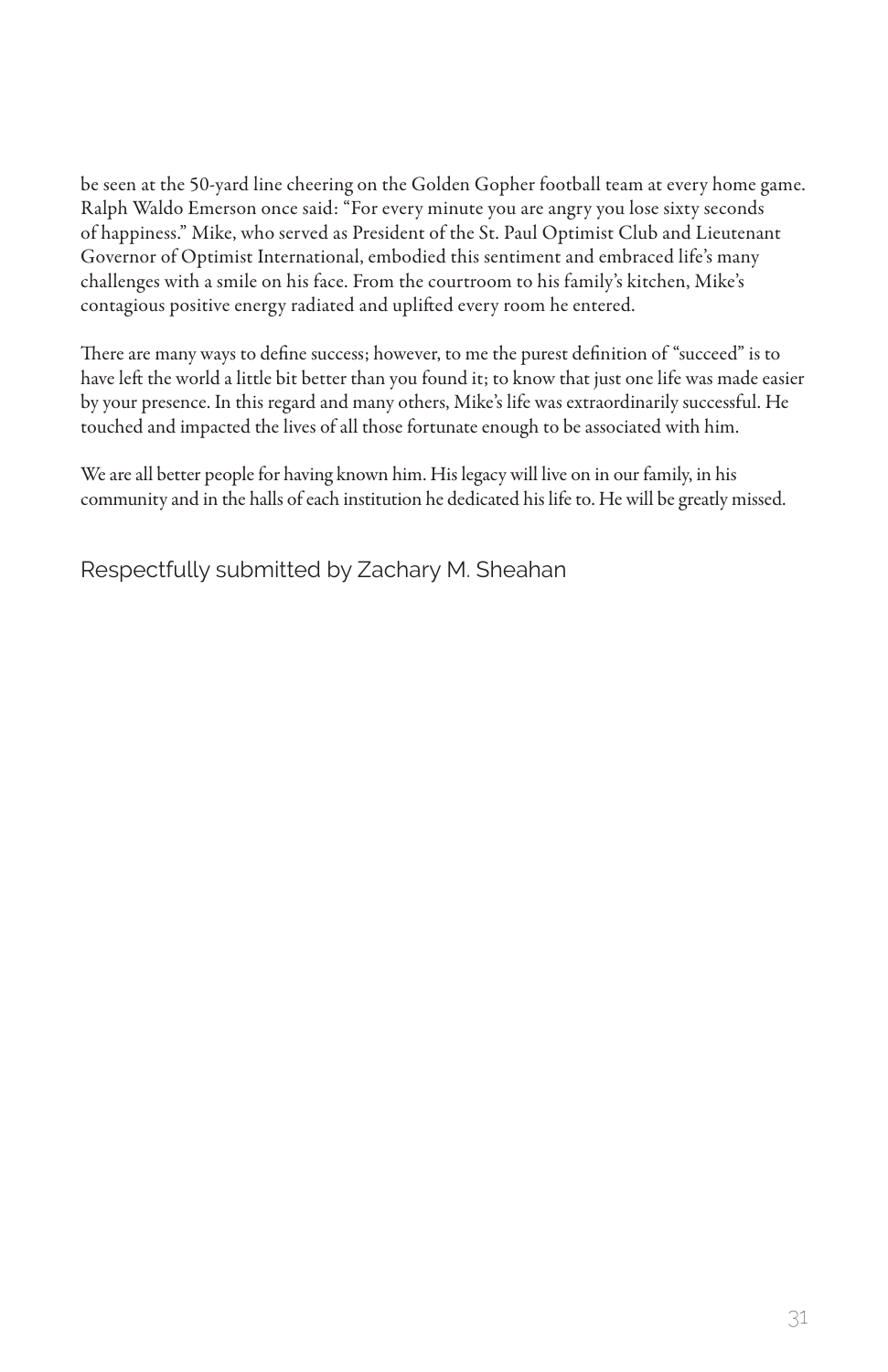be seen at the 50-yard line cheering on the Golden Gopher football team at every home game. Ralph Waldo Emerson once said: "For every minute you are angry you lose sixty seconds of happiness." Mike, who served as President of the St. Paul Optimist Club and Lieutenant Governor of Optimist International, embodied this sentiment and embraced life's many challenges with a smile on his face. From the courtroom to his family's kitchen, Mike's contagious positive energy radiated and uplifted every room he entered.

There are many ways to define success; however, to me the purest definition of "succeed" is to have left the world a little bit better than you found it; to know that just one life was made easier by your presence. In this regard and many others, Mike's life was extraordinarily successful. He touched and impacted the lives of all those fortunate enough to be associated with him.

We are all better people for having known him. His legacy will live on in our family, in his community and in the halls of each institution he dedicated his life to. He will be greatly missed.

Respectfully submitted by Zachary M. Sheahan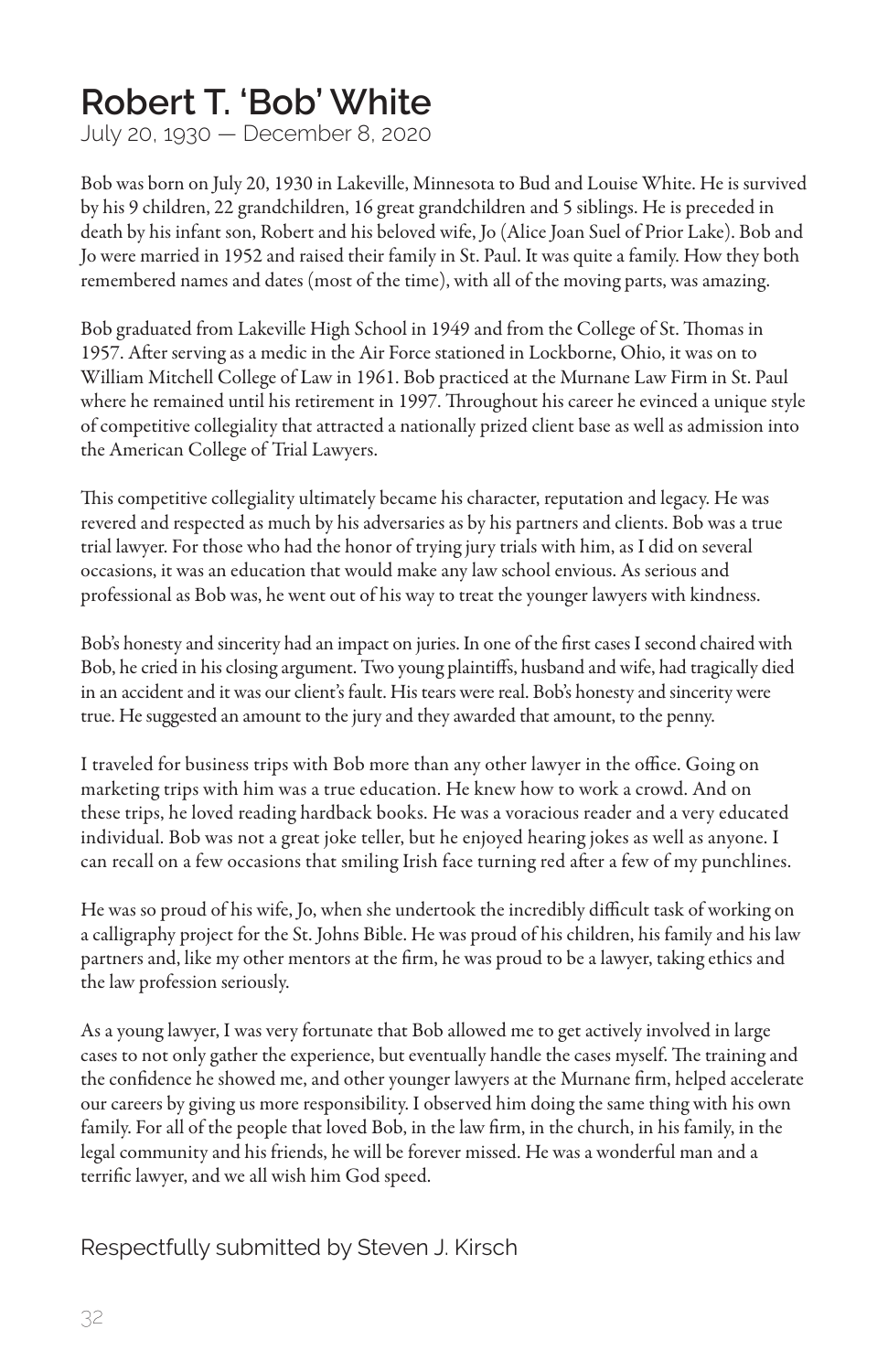#### **Robert T. 'Bob' White**

July 20, 1930 — December 8, 2020

Bob was born on July 20, 1930 in Lakeville, Minnesota to Bud and Louise White. He is survived by his 9 children, 22 grandchildren, 16 great grandchildren and 5 siblings. He is preceded in death by his infant son, Robert and his beloved wife, Jo (Alice Joan Suel of Prior Lake). Bob and Jo were married in 1952 and raised their family in St. Paul. It was quite a family. How they both remembered names and dates (most of the time), with all of the moving parts, was amazing.

Bob graduated from Lakeville High School in 1949 and from the College of St. Thomas in 1957. After serving as a medic in the Air Force stationed in Lockborne, Ohio, it was on to William Mitchell College of Law in 1961. Bob practiced at the Murnane Law Firm in St. Paul where he remained until his retirement in 1997. Throughout his career he evinced a unique style of competitive collegiality that attracted a nationally prized client base as well as admission into the American College of Trial Lawyers.

This competitive collegiality ultimately became his character, reputation and legacy. He was revered and respected as much by his adversaries as by his partners and clients. Bob was a true trial lawyer. For those who had the honor of trying jury trials with him, as I did on several occasions, it was an education that would make any law school envious. As serious and professional as Bob was, he went out of his way to treat the younger lawyers with kindness.

Bob's honesty and sincerity had an impact on juries. In one of the first cases I second chaired with Bob, he cried in his closing argument. Two young plaintiffs, husband and wife, had tragically died in an accident and it was our client's fault. His tears were real. Bob's honesty and sincerity were true. He suggested an amount to the jury and they awarded that amount, to the penny.

I traveled for business trips with Bob more than any other lawyer in the office. Going on marketing trips with him was a true education. He knew how to work a crowd. And on these trips, he loved reading hardback books. He was a voracious reader and a very educated individual. Bob was not a great joke teller, but he enjoyed hearing jokes as well as anyone. I can recall on a few occasions that smiling Irish face turning red after a few of my punchlines.

He was so proud of his wife, Jo, when she undertook the incredibly difficult task of working on a calligraphy project for the St. Johns Bible. He was proud of his children, his family and his law partners and, like my other mentors at the firm, he was proud to be a lawyer, taking ethics and the law profession seriously.

As a young lawyer, I was very fortunate that Bob allowed me to get actively involved in large cases to not only gather the experience, but eventually handle the cases myself. The training and the confidence he showed me, and other younger lawyers at the Murnane firm, helped accelerate our careers by giving us more responsibility. I observed him doing the same thing with his own family. For all of the people that loved Bob, in the law firm, in the church, in his family, in the legal community and his friends, he will be forever missed. He was a wonderful man and a terrific lawyer, and we all wish him God speed.

#### Respectfully submitted by Steven J. Kirsch